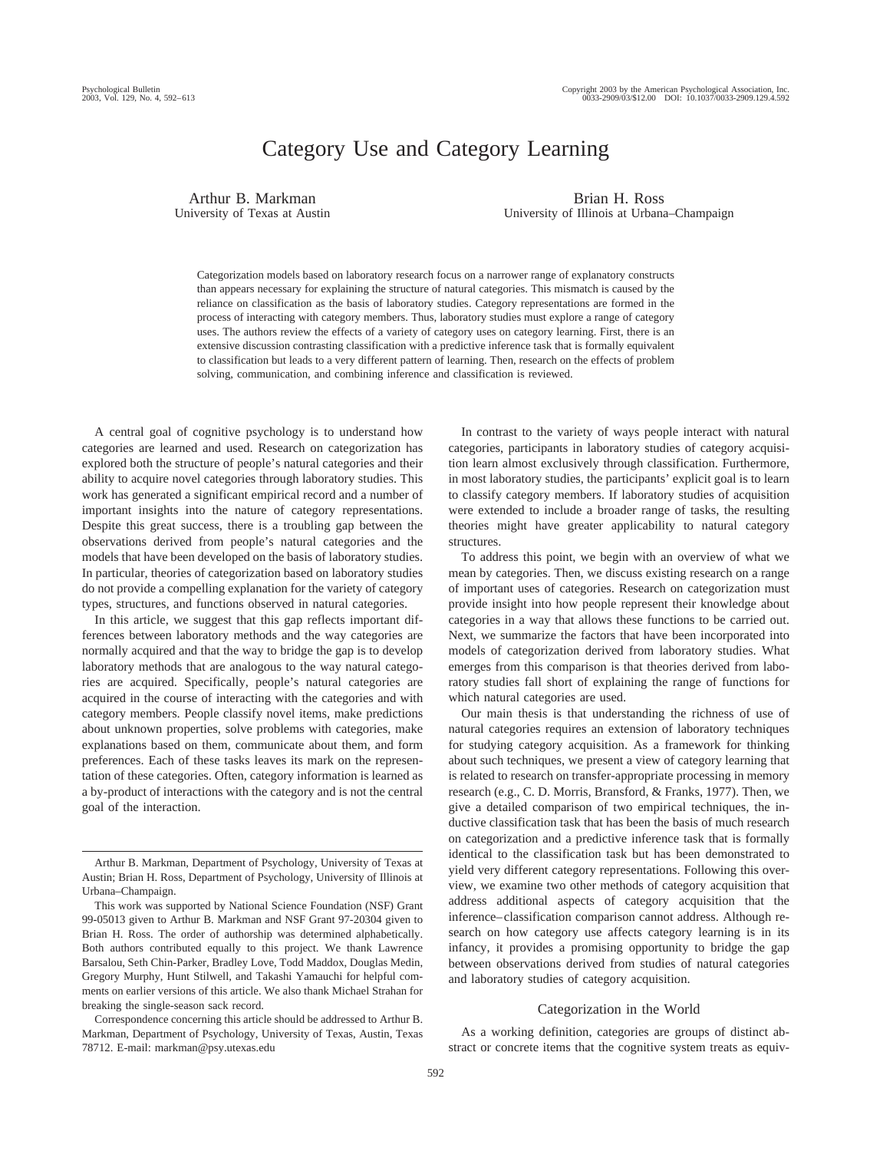# Category Use and Category Learning

Arthur B. Markman University of Texas at Austin

Brian H. Ross University of Illinois at Urbana–Champaign

Categorization models based on laboratory research focus on a narrower range of explanatory constructs than appears necessary for explaining the structure of natural categories. This mismatch is caused by the reliance on classification as the basis of laboratory studies. Category representations are formed in the process of interacting with category members. Thus, laboratory studies must explore a range of category uses. The authors review the effects of a variety of category uses on category learning. First, there is an extensive discussion contrasting classification with a predictive inference task that is formally equivalent to classification but leads to a very different pattern of learning. Then, research on the effects of problem solving, communication, and combining inference and classification is reviewed.

A central goal of cognitive psychology is to understand how categories are learned and used. Research on categorization has explored both the structure of people's natural categories and their ability to acquire novel categories through laboratory studies. This work has generated a significant empirical record and a number of important insights into the nature of category representations. Despite this great success, there is a troubling gap between the observations derived from people's natural categories and the models that have been developed on the basis of laboratory studies. In particular, theories of categorization based on laboratory studies do not provide a compelling explanation for the variety of category types, structures, and functions observed in natural categories.

In this article, we suggest that this gap reflects important differences between laboratory methods and the way categories are normally acquired and that the way to bridge the gap is to develop laboratory methods that are analogous to the way natural categories are acquired. Specifically, people's natural categories are acquired in the course of interacting with the categories and with category members. People classify novel items, make predictions about unknown properties, solve problems with categories, make explanations based on them, communicate about them, and form preferences. Each of these tasks leaves its mark on the representation of these categories. Often, category information is learned as a by-product of interactions with the category and is not the central goal of the interaction.

In contrast to the variety of ways people interact with natural categories, participants in laboratory studies of category acquisition learn almost exclusively through classification. Furthermore, in most laboratory studies, the participants' explicit goal is to learn to classify category members. If laboratory studies of acquisition were extended to include a broader range of tasks, the resulting theories might have greater applicability to natural category structures.

To address this point, we begin with an overview of what we mean by categories. Then, we discuss existing research on a range of important uses of categories. Research on categorization must provide insight into how people represent their knowledge about categories in a way that allows these functions to be carried out. Next, we summarize the factors that have been incorporated into models of categorization derived from laboratory studies. What emerges from this comparison is that theories derived from laboratory studies fall short of explaining the range of functions for which natural categories are used.

Our main thesis is that understanding the richness of use of natural categories requires an extension of laboratory techniques for studying category acquisition. As a framework for thinking about such techniques, we present a view of category learning that is related to research on transfer-appropriate processing in memory research (e.g., C. D. Morris, Bransford, & Franks, 1977). Then, we give a detailed comparison of two empirical techniques, the inductive classification task that has been the basis of much research on categorization and a predictive inference task that is formally identical to the classification task but has been demonstrated to yield very different category representations. Following this overview, we examine two other methods of category acquisition that address additional aspects of category acquisition that the inference–classification comparison cannot address. Although research on how category use affects category learning is in its infancy, it provides a promising opportunity to bridge the gap between observations derived from studies of natural categories and laboratory studies of category acquisition.

#### Categorization in the World

As a working definition, categories are groups of distinct abstract or concrete items that the cognitive system treats as equiv-

Arthur B. Markman, Department of Psychology, University of Texas at Austin; Brian H. Ross, Department of Psychology, University of Illinois at Urbana–Champaign.

This work was supported by National Science Foundation (NSF) Grant 99-05013 given to Arthur B. Markman and NSF Grant 97-20304 given to Brian H. Ross. The order of authorship was determined alphabetically. Both authors contributed equally to this project. We thank Lawrence Barsalou, Seth Chin-Parker, Bradley Love, Todd Maddox, Douglas Medin, Gregory Murphy, Hunt Stilwell, and Takashi Yamauchi for helpful comments on earlier versions of this article. We also thank Michael Strahan for breaking the single-season sack record.

Correspondence concerning this article should be addressed to Arthur B. Markman, Department of Psychology, University of Texas, Austin, Texas 78712. E-mail: markman@psy.utexas.edu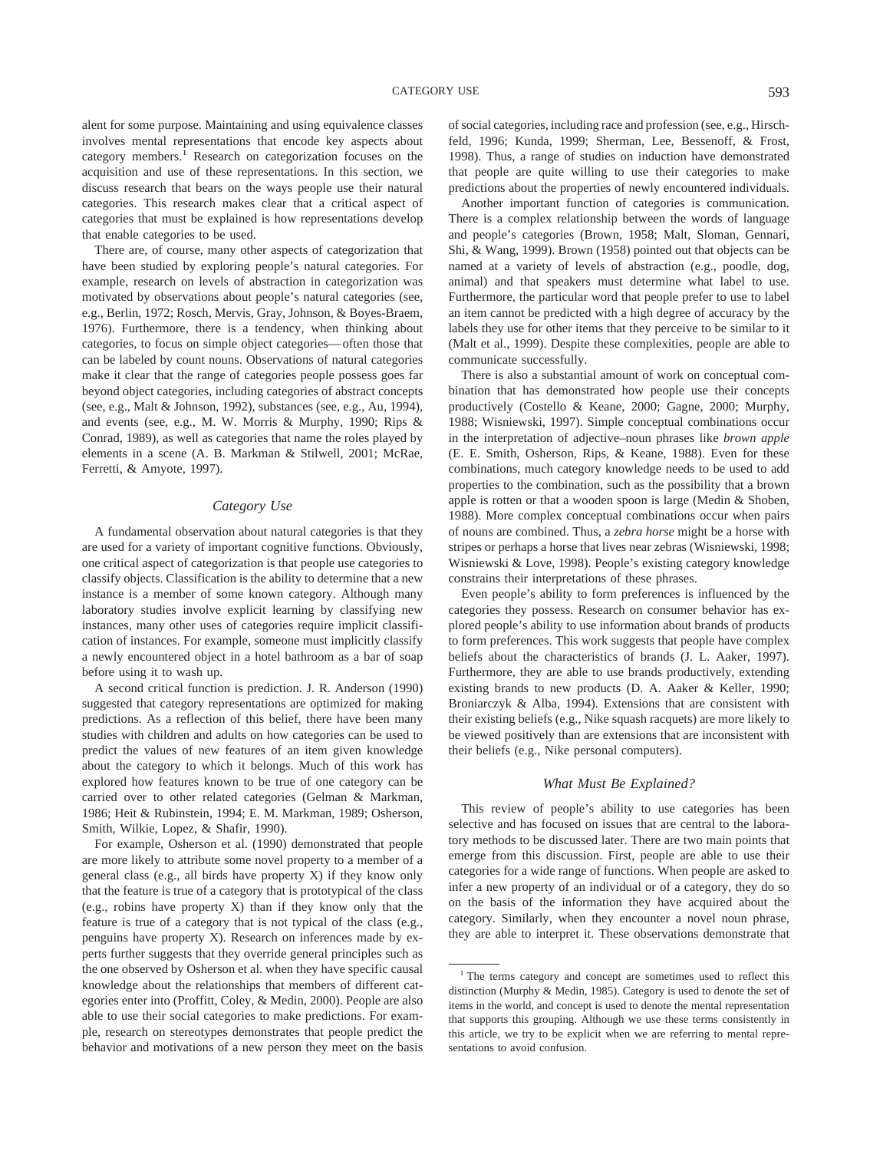alent for some purpose. Maintaining and using equivalence classes involves mental representations that encode key aspects about category members.<sup>1</sup> Research on categorization focuses on the acquisition and use of these representations. In this section, we discuss research that bears on the ways people use their natural categories. This research makes clear that a critical aspect of categories that must be explained is how representations develop that enable categories to be used.

There are, of course, many other aspects of categorization that have been studied by exploring people's natural categories. For example, research on levels of abstraction in categorization was motivated by observations about people's natural categories (see, e.g., Berlin, 1972; Rosch, Mervis, Gray, Johnson, & Boyes-Braem, 1976). Furthermore, there is a tendency, when thinking about categories, to focus on simple object categories—often those that can be labeled by count nouns. Observations of natural categories make it clear that the range of categories people possess goes far beyond object categories, including categories of abstract concepts (see, e.g., Malt & Johnson, 1992), substances (see, e.g., Au, 1994), and events (see, e.g., M. W. Morris & Murphy, 1990; Rips & Conrad, 1989), as well as categories that name the roles played by elements in a scene (A. B. Markman & Stilwell, 2001; McRae, Ferretti, & Amyote, 1997).

# *Category Use*

A fundamental observation about natural categories is that they are used for a variety of important cognitive functions. Obviously, one critical aspect of categorization is that people use categories to classify objects. Classification is the ability to determine that a new instance is a member of some known category. Although many laboratory studies involve explicit learning by classifying new instances, many other uses of categories require implicit classification of instances. For example, someone must implicitly classify a newly encountered object in a hotel bathroom as a bar of soap before using it to wash up.

A second critical function is prediction. J. R. Anderson (1990) suggested that category representations are optimized for making predictions. As a reflection of this belief, there have been many studies with children and adults on how categories can be used to predict the values of new features of an item given knowledge about the category to which it belongs. Much of this work has explored how features known to be true of one category can be carried over to other related categories (Gelman & Markman, 1986; Heit & Rubinstein, 1994; E. M. Markman, 1989; Osherson, Smith, Wilkie, Lopez, & Shafir, 1990).

For example, Osherson et al. (1990) demonstrated that people are more likely to attribute some novel property to a member of a general class (e.g., all birds have property X) if they know only that the feature is true of a category that is prototypical of the class (e.g., robins have property X) than if they know only that the feature is true of a category that is not typical of the class (e.g., penguins have property X). Research on inferences made by experts further suggests that they override general principles such as the one observed by Osherson et al. when they have specific causal knowledge about the relationships that members of different categories enter into (Proffitt, Coley, & Medin, 2000). People are also able to use their social categories to make predictions. For example, research on stereotypes demonstrates that people predict the behavior and motivations of a new person they meet on the basis of social categories, including race and profession (see, e.g., Hirschfeld, 1996; Kunda, 1999; Sherman, Lee, Bessenoff, & Frost, 1998). Thus, a range of studies on induction have demonstrated that people are quite willing to use their categories to make predictions about the properties of newly encountered individuals.

Another important function of categories is communication. There is a complex relationship between the words of language and people's categories (Brown, 1958; Malt, Sloman, Gennari, Shi, & Wang, 1999). Brown (1958) pointed out that objects can be named at a variety of levels of abstraction (e.g., poodle, dog, animal) and that speakers must determine what label to use. Furthermore, the particular word that people prefer to use to label an item cannot be predicted with a high degree of accuracy by the labels they use for other items that they perceive to be similar to it (Malt et al., 1999). Despite these complexities, people are able to communicate successfully.

There is also a substantial amount of work on conceptual combination that has demonstrated how people use their concepts productively (Costello & Keane, 2000; Gagne, 2000; Murphy, 1988; Wisniewski, 1997). Simple conceptual combinations occur in the interpretation of adjective–noun phrases like *brown apple* (E. E. Smith, Osherson, Rips, & Keane, 1988). Even for these combinations, much category knowledge needs to be used to add properties to the combination, such as the possibility that a brown apple is rotten or that a wooden spoon is large (Medin & Shoben, 1988). More complex conceptual combinations occur when pairs of nouns are combined. Thus, a *zebra horse* might be a horse with stripes or perhaps a horse that lives near zebras (Wisniewski, 1998; Wisniewski & Love, 1998). People's existing category knowledge constrains their interpretations of these phrases.

Even people's ability to form preferences is influenced by the categories they possess. Research on consumer behavior has explored people's ability to use information about brands of products to form preferences. This work suggests that people have complex beliefs about the characteristics of brands (J. L. Aaker, 1997). Furthermore, they are able to use brands productively, extending existing brands to new products (D. A. Aaker & Keller, 1990; Broniarczyk & Alba, 1994). Extensions that are consistent with their existing beliefs (e.g., Nike squash racquets) are more likely to be viewed positively than are extensions that are inconsistent with their beliefs (e.g., Nike personal computers).

#### *What Must Be Explained?*

This review of people's ability to use categories has been selective and has focused on issues that are central to the laboratory methods to be discussed later. There are two main points that emerge from this discussion. First, people are able to use their categories for a wide range of functions. When people are asked to infer a new property of an individual or of a category, they do so on the basis of the information they have acquired about the category. Similarly, when they encounter a novel noun phrase, they are able to interpret it. These observations demonstrate that

<sup>&</sup>lt;sup>1</sup> The terms category and concept are sometimes used to reflect this distinction (Murphy & Medin, 1985). Category is used to denote the set of items in the world, and concept is used to denote the mental representation that supports this grouping. Although we use these terms consistently in this article, we try to be explicit when we are referring to mental representations to avoid confusion.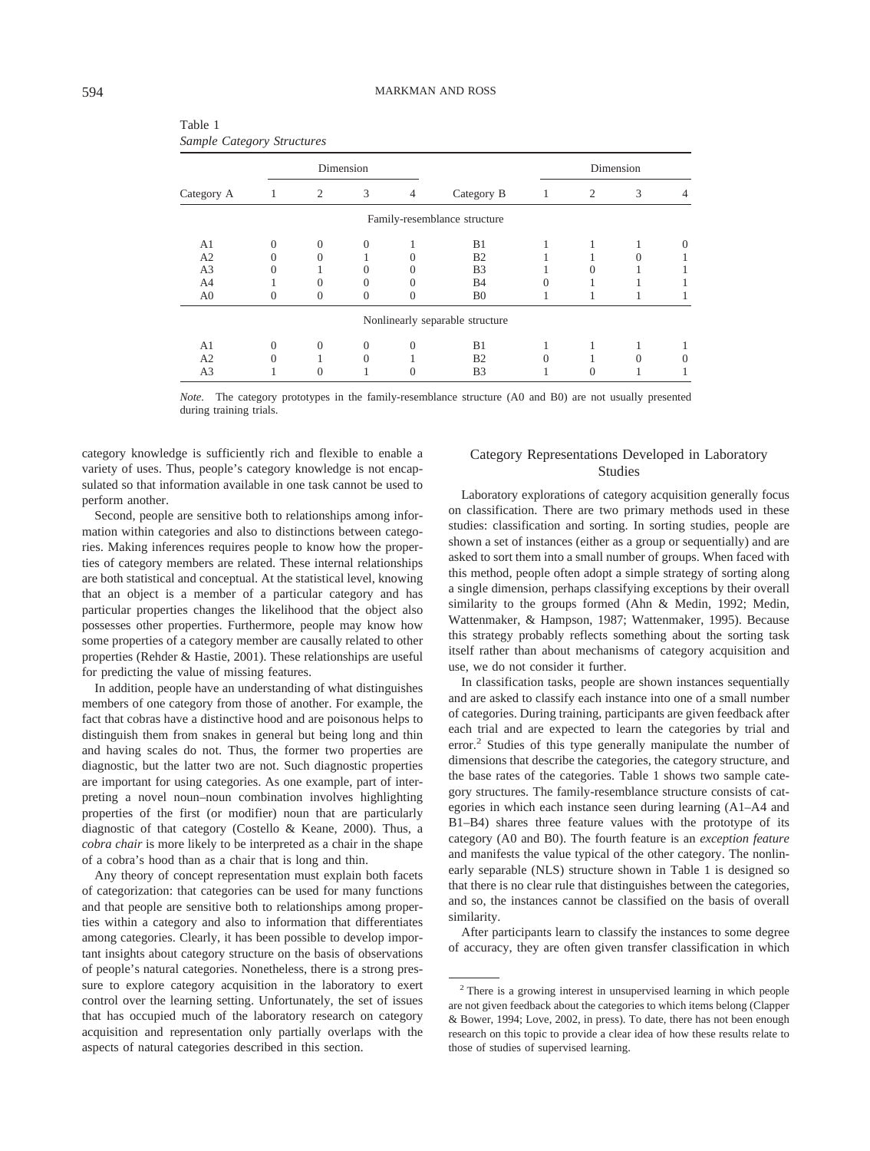|                | Dimension |   |   |                |                                 | Dimension |   |   |   |
|----------------|-----------|---|---|----------------|---------------------------------|-----------|---|---|---|
| Category A     |           | 2 | 3 | $\overline{4}$ | Category B                      |           | 2 | 3 | 4 |
|                |           |   |   |                | Family-resemblance structure    |           |   |   |   |
| A <sub>1</sub> | 0         | 0 | 0 |                | B1                              |           |   |   |   |
| A2             |           | 0 |   |                | B <sub>2</sub>                  |           |   |   |   |
| A <sub>3</sub> |           |   |   |                | B <sub>3</sub>                  |           |   |   |   |
| A <sub>4</sub> |           |   |   |                | <b>B4</b>                       |           |   |   |   |
| A <sub>0</sub> | 0         | 0 | 0 |                | B <sub>0</sub>                  |           |   |   |   |
|                |           |   |   |                | Nonlinearly separable structure |           |   |   |   |
| A <sub>1</sub> | 0         | 0 | 0 |                | B1                              |           |   |   |   |
| A2             |           |   |   |                | B <sub>2</sub>                  |           |   |   |   |
| A <sub>3</sub> |           |   |   |                | B <sub>3</sub>                  |           |   |   |   |

| Table 1 |                                   |
|---------|-----------------------------------|
|         | <b>Sample Category Structures</b> |

*Note.* The category prototypes in the family-resemblance structure (A0 and B0) are not usually presented during training trials.

category knowledge is sufficiently rich and flexible to enable a variety of uses. Thus, people's category knowledge is not encapsulated so that information available in one task cannot be used to perform another.

Second, people are sensitive both to relationships among information within categories and also to distinctions between categories. Making inferences requires people to know how the properties of category members are related. These internal relationships are both statistical and conceptual. At the statistical level, knowing that an object is a member of a particular category and has particular properties changes the likelihood that the object also possesses other properties. Furthermore, people may know how some properties of a category member are causally related to other properties (Rehder & Hastie, 2001). These relationships are useful for predicting the value of missing features.

In addition, people have an understanding of what distinguishes members of one category from those of another. For example, the fact that cobras have a distinctive hood and are poisonous helps to distinguish them from snakes in general but being long and thin and having scales do not. Thus, the former two properties are diagnostic, but the latter two are not. Such diagnostic properties are important for using categories. As one example, part of interpreting a novel noun–noun combination involves highlighting properties of the first (or modifier) noun that are particularly diagnostic of that category (Costello & Keane, 2000). Thus, a *cobra chair* is more likely to be interpreted as a chair in the shape of a cobra's hood than as a chair that is long and thin.

Any theory of concept representation must explain both facets of categorization: that categories can be used for many functions and that people are sensitive both to relationships among properties within a category and also to information that differentiates among categories. Clearly, it has been possible to develop important insights about category structure on the basis of observations of people's natural categories. Nonetheless, there is a strong pressure to explore category acquisition in the laboratory to exert control over the learning setting. Unfortunately, the set of issues that has occupied much of the laboratory research on category acquisition and representation only partially overlaps with the aspects of natural categories described in this section.

## Category Representations Developed in Laboratory Studies

Laboratory explorations of category acquisition generally focus on classification. There are two primary methods used in these studies: classification and sorting. In sorting studies, people are shown a set of instances (either as a group or sequentially) and are asked to sort them into a small number of groups. When faced with this method, people often adopt a simple strategy of sorting along a single dimension, perhaps classifying exceptions by their overall similarity to the groups formed (Ahn & Medin, 1992; Medin, Wattenmaker, & Hampson, 1987; Wattenmaker, 1995). Because this strategy probably reflects something about the sorting task itself rather than about mechanisms of category acquisition and use, we do not consider it further.

In classification tasks, people are shown instances sequentially and are asked to classify each instance into one of a small number of categories. During training, participants are given feedback after each trial and are expected to learn the categories by trial and error.<sup>2</sup> Studies of this type generally manipulate the number of dimensions that describe the categories, the category structure, and the base rates of the categories. Table 1 shows two sample category structures. The family-resemblance structure consists of categories in which each instance seen during learning (A1–A4 and B1–B4) shares three feature values with the prototype of its category (A0 and B0). The fourth feature is an *exception feature* and manifests the value typical of the other category. The nonlinearly separable (NLS) structure shown in Table 1 is designed so that there is no clear rule that distinguishes between the categories, and so, the instances cannot be classified on the basis of overall similarity.

After participants learn to classify the instances to some degree of accuracy, they are often given transfer classification in which

<sup>2</sup> There is a growing interest in unsupervised learning in which people are not given feedback about the categories to which items belong (Clapper & Bower, 1994; Love, 2002, in press). To date, there has not been enough research on this topic to provide a clear idea of how these results relate to those of studies of supervised learning.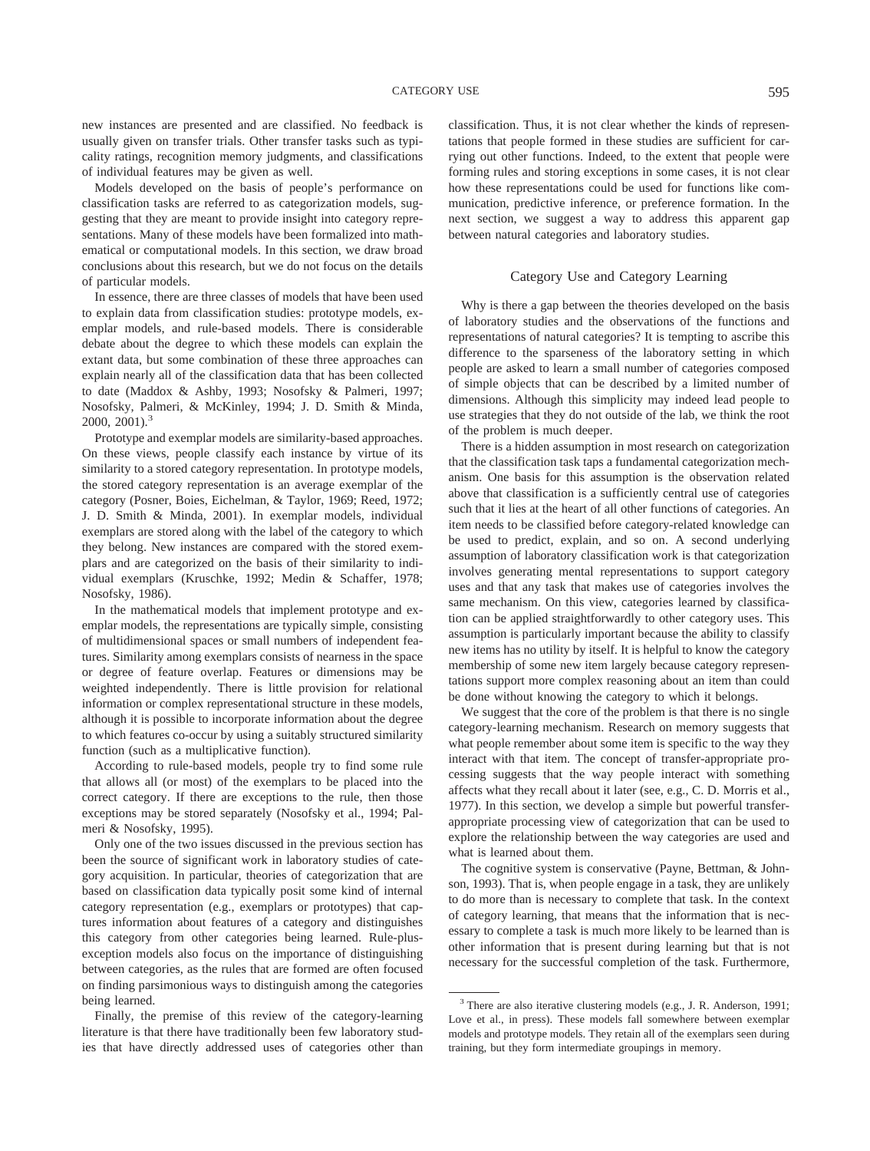new instances are presented and are classified. No feedback is usually given on transfer trials. Other transfer tasks such as typicality ratings, recognition memory judgments, and classifications of individual features may be given as well.

Models developed on the basis of people's performance on classification tasks are referred to as categorization models, suggesting that they are meant to provide insight into category representations. Many of these models have been formalized into mathematical or computational models. In this section, we draw broad conclusions about this research, but we do not focus on the details of particular models.

In essence, there are three classes of models that have been used to explain data from classification studies: prototype models, exemplar models, and rule-based models. There is considerable debate about the degree to which these models can explain the extant data, but some combination of these three approaches can explain nearly all of the classification data that has been collected to date (Maddox & Ashby, 1993; Nosofsky & Palmeri, 1997; Nosofsky, Palmeri, & McKinley, 1994; J. D. Smith & Minda, 2000, 2001).3

Prototype and exemplar models are similarity-based approaches. On these views, people classify each instance by virtue of its similarity to a stored category representation. In prototype models, the stored category representation is an average exemplar of the category (Posner, Boies, Eichelman, & Taylor, 1969; Reed, 1972; J. D. Smith & Minda, 2001). In exemplar models, individual exemplars are stored along with the label of the category to which they belong. New instances are compared with the stored exemplars and are categorized on the basis of their similarity to individual exemplars (Kruschke, 1992; Medin & Schaffer, 1978; Nosofsky, 1986).

In the mathematical models that implement prototype and exemplar models, the representations are typically simple, consisting of multidimensional spaces or small numbers of independent features. Similarity among exemplars consists of nearness in the space or degree of feature overlap. Features or dimensions may be weighted independently. There is little provision for relational information or complex representational structure in these models, although it is possible to incorporate information about the degree to which features co-occur by using a suitably structured similarity function (such as a multiplicative function).

According to rule-based models, people try to find some rule that allows all (or most) of the exemplars to be placed into the correct category. If there are exceptions to the rule, then those exceptions may be stored separately (Nosofsky et al., 1994; Palmeri & Nosofsky, 1995).

Only one of the two issues discussed in the previous section has been the source of significant work in laboratory studies of category acquisition. In particular, theories of categorization that are based on classification data typically posit some kind of internal category representation (e.g., exemplars or prototypes) that captures information about features of a category and distinguishes this category from other categories being learned. Rule-plusexception models also focus on the importance of distinguishing between categories, as the rules that are formed are often focused on finding parsimonious ways to distinguish among the categories being learned.

Finally, the premise of this review of the category-learning literature is that there have traditionally been few laboratory studies that have directly addressed uses of categories other than classification. Thus, it is not clear whether the kinds of representations that people formed in these studies are sufficient for carrying out other functions. Indeed, to the extent that people were forming rules and storing exceptions in some cases, it is not clear how these representations could be used for functions like communication, predictive inference, or preference formation. In the next section, we suggest a way to address this apparent gap between natural categories and laboratory studies.

## Category Use and Category Learning

Why is there a gap between the theories developed on the basis of laboratory studies and the observations of the functions and representations of natural categories? It is tempting to ascribe this difference to the sparseness of the laboratory setting in which people are asked to learn a small number of categories composed of simple objects that can be described by a limited number of dimensions. Although this simplicity may indeed lead people to use strategies that they do not outside of the lab, we think the root of the problem is much deeper.

There is a hidden assumption in most research on categorization that the classification task taps a fundamental categorization mechanism. One basis for this assumption is the observation related above that classification is a sufficiently central use of categories such that it lies at the heart of all other functions of categories. An item needs to be classified before category-related knowledge can be used to predict, explain, and so on. A second underlying assumption of laboratory classification work is that categorization involves generating mental representations to support category uses and that any task that makes use of categories involves the same mechanism. On this view, categories learned by classification can be applied straightforwardly to other category uses. This assumption is particularly important because the ability to classify new items has no utility by itself. It is helpful to know the category membership of some new item largely because category representations support more complex reasoning about an item than could be done without knowing the category to which it belongs.

We suggest that the core of the problem is that there is no single category-learning mechanism. Research on memory suggests that what people remember about some item is specific to the way they interact with that item. The concept of transfer-appropriate processing suggests that the way people interact with something affects what they recall about it later (see, e.g., C. D. Morris et al., 1977). In this section, we develop a simple but powerful transferappropriate processing view of categorization that can be used to explore the relationship between the way categories are used and what is learned about them.

The cognitive system is conservative (Payne, Bettman, & Johnson, 1993). That is, when people engage in a task, they are unlikely to do more than is necessary to complete that task. In the context of category learning, that means that the information that is necessary to complete a task is much more likely to be learned than is other information that is present during learning but that is not necessary for the successful completion of the task. Furthermore,

<sup>&</sup>lt;sup>3</sup> There are also iterative clustering models (e.g., J. R. Anderson, 1991; Love et al., in press). These models fall somewhere between exemplar models and prototype models. They retain all of the exemplars seen during training, but they form intermediate groupings in memory.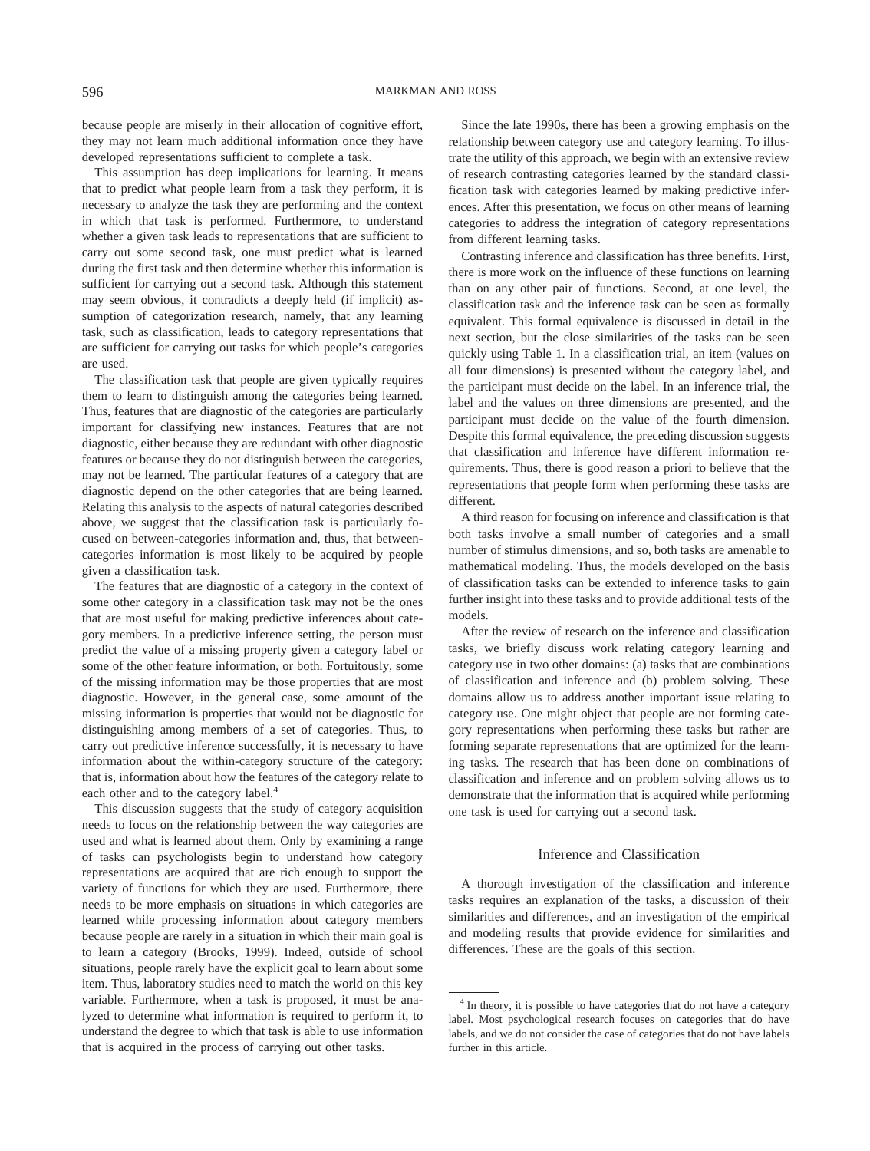because people are miserly in their allocation of cognitive effort, they may not learn much additional information once they have developed representations sufficient to complete a task.

This assumption has deep implications for learning. It means that to predict what people learn from a task they perform, it is necessary to analyze the task they are performing and the context in which that task is performed. Furthermore, to understand whether a given task leads to representations that are sufficient to carry out some second task, one must predict what is learned during the first task and then determine whether this information is sufficient for carrying out a second task. Although this statement may seem obvious, it contradicts a deeply held (if implicit) assumption of categorization research, namely, that any learning task, such as classification, leads to category representations that are sufficient for carrying out tasks for which people's categories are used.

The classification task that people are given typically requires them to learn to distinguish among the categories being learned. Thus, features that are diagnostic of the categories are particularly important for classifying new instances. Features that are not diagnostic, either because they are redundant with other diagnostic features or because they do not distinguish between the categories, may not be learned. The particular features of a category that are diagnostic depend on the other categories that are being learned. Relating this analysis to the aspects of natural categories described above, we suggest that the classification task is particularly focused on between-categories information and, thus, that betweencategories information is most likely to be acquired by people given a classification task.

The features that are diagnostic of a category in the context of some other category in a classification task may not be the ones that are most useful for making predictive inferences about category members. In a predictive inference setting, the person must predict the value of a missing property given a category label or some of the other feature information, or both. Fortuitously, some of the missing information may be those properties that are most diagnostic. However, in the general case, some amount of the missing information is properties that would not be diagnostic for distinguishing among members of a set of categories. Thus, to carry out predictive inference successfully, it is necessary to have information about the within-category structure of the category: that is, information about how the features of the category relate to each other and to the category label.<sup>4</sup>

This discussion suggests that the study of category acquisition needs to focus on the relationship between the way categories are used and what is learned about them. Only by examining a range of tasks can psychologists begin to understand how category representations are acquired that are rich enough to support the variety of functions for which they are used. Furthermore, there needs to be more emphasis on situations in which categories are learned while processing information about category members because people are rarely in a situation in which their main goal is to learn a category (Brooks, 1999). Indeed, outside of school situations, people rarely have the explicit goal to learn about some item. Thus, laboratory studies need to match the world on this key variable. Furthermore, when a task is proposed, it must be analyzed to determine what information is required to perform it, to understand the degree to which that task is able to use information that is acquired in the process of carrying out other tasks.

Since the late 1990s, there has been a growing emphasis on the relationship between category use and category learning. To illustrate the utility of this approach, we begin with an extensive review of research contrasting categories learned by the standard classification task with categories learned by making predictive inferences. After this presentation, we focus on other means of learning categories to address the integration of category representations from different learning tasks.

Contrasting inference and classification has three benefits. First, there is more work on the influence of these functions on learning than on any other pair of functions. Second, at one level, the classification task and the inference task can be seen as formally equivalent. This formal equivalence is discussed in detail in the next section, but the close similarities of the tasks can be seen quickly using Table 1. In a classification trial, an item (values on all four dimensions) is presented without the category label, and the participant must decide on the label. In an inference trial, the label and the values on three dimensions are presented, and the participant must decide on the value of the fourth dimension. Despite this formal equivalence, the preceding discussion suggests that classification and inference have different information requirements. Thus, there is good reason a priori to believe that the representations that people form when performing these tasks are different.

A third reason for focusing on inference and classification is that both tasks involve a small number of categories and a small number of stimulus dimensions, and so, both tasks are amenable to mathematical modeling. Thus, the models developed on the basis of classification tasks can be extended to inference tasks to gain further insight into these tasks and to provide additional tests of the models.

After the review of research on the inference and classification tasks, we briefly discuss work relating category learning and category use in two other domains: (a) tasks that are combinations of classification and inference and (b) problem solving. These domains allow us to address another important issue relating to category use. One might object that people are not forming category representations when performing these tasks but rather are forming separate representations that are optimized for the learning tasks. The research that has been done on combinations of classification and inference and on problem solving allows us to demonstrate that the information that is acquired while performing one task is used for carrying out a second task.

#### Inference and Classification

A thorough investigation of the classification and inference tasks requires an explanation of the tasks, a discussion of their similarities and differences, and an investigation of the empirical and modeling results that provide evidence for similarities and differences. These are the goals of this section.

<sup>&</sup>lt;sup>4</sup> In theory, it is possible to have categories that do not have a category label. Most psychological research focuses on categories that do have labels, and we do not consider the case of categories that do not have labels further in this article.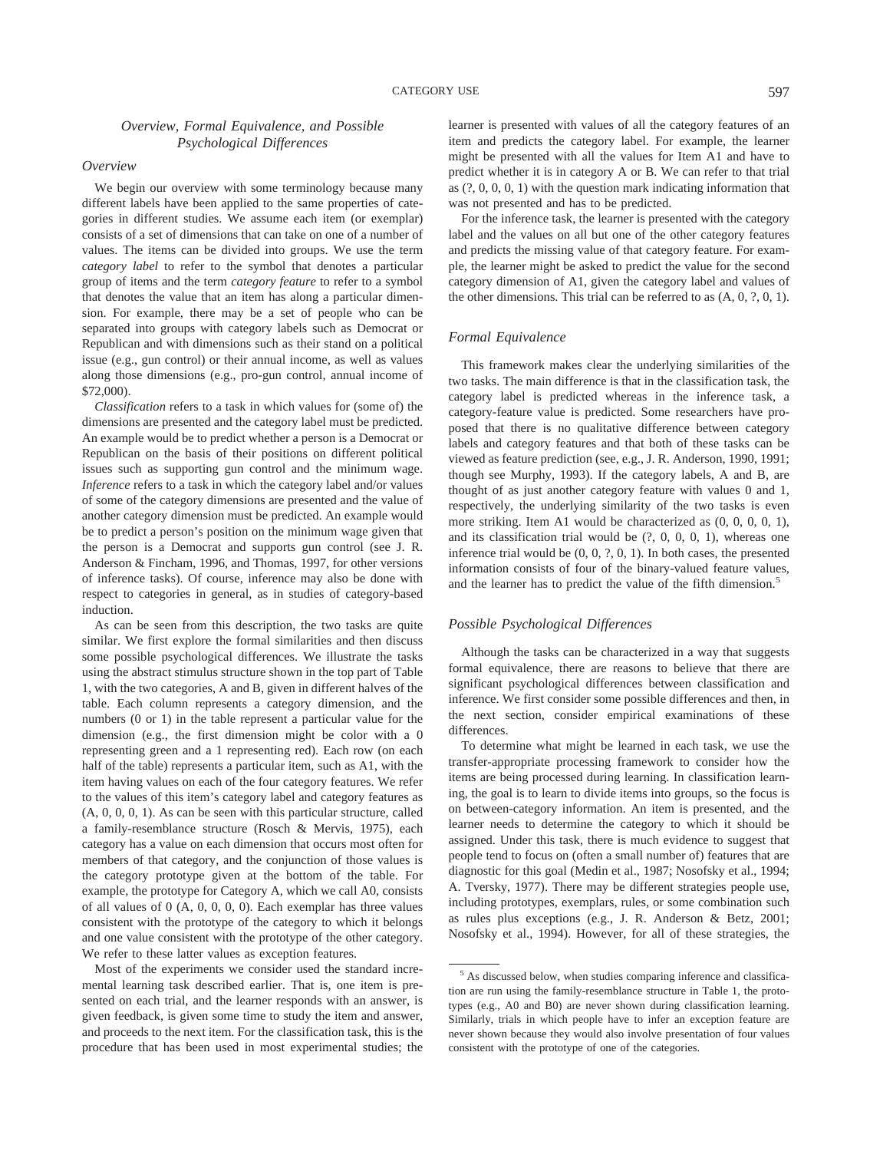# *Overview, Formal Equivalence, and Possible Psychological Differences*

#### *Overview*

We begin our overview with some terminology because many different labels have been applied to the same properties of categories in different studies. We assume each item (or exemplar) consists of a set of dimensions that can take on one of a number of values. The items can be divided into groups. We use the term *category label* to refer to the symbol that denotes a particular group of items and the term *category feature* to refer to a symbol that denotes the value that an item has along a particular dimension. For example, there may be a set of people who can be separated into groups with category labels such as Democrat or Republican and with dimensions such as their stand on a political issue (e.g., gun control) or their annual income, as well as values along those dimensions (e.g., pro-gun control, annual income of \$72,000).

*Classification* refers to a task in which values for (some of) the dimensions are presented and the category label must be predicted. An example would be to predict whether a person is a Democrat or Republican on the basis of their positions on different political issues such as supporting gun control and the minimum wage. *Inference* refers to a task in which the category label and/or values of some of the category dimensions are presented and the value of another category dimension must be predicted. An example would be to predict a person's position on the minimum wage given that the person is a Democrat and supports gun control (see J. R. Anderson & Fincham, 1996, and Thomas, 1997, for other versions of inference tasks). Of course, inference may also be done with respect to categories in general, as in studies of category-based induction.

As can be seen from this description, the two tasks are quite similar. We first explore the formal similarities and then discuss some possible psychological differences. We illustrate the tasks using the abstract stimulus structure shown in the top part of Table 1, with the two categories, A and B, given in different halves of the table. Each column represents a category dimension, and the numbers (0 or 1) in the table represent a particular value for the dimension (e.g., the first dimension might be color with a 0 representing green and a 1 representing red). Each row (on each half of the table) represents a particular item, such as A1, with the item having values on each of the four category features. We refer to the values of this item's category label and category features as (A, 0, 0, 0, 1). As can be seen with this particular structure, called a family-resemblance structure (Rosch & Mervis, 1975), each category has a value on each dimension that occurs most often for members of that category, and the conjunction of those values is the category prototype given at the bottom of the table. For example, the prototype for Category A, which we call A0, consists of all values of 0 (A, 0, 0, 0, 0). Each exemplar has three values consistent with the prototype of the category to which it belongs and one value consistent with the prototype of the other category. We refer to these latter values as exception features.

Most of the experiments we consider used the standard incremental learning task described earlier. That is, one item is presented on each trial, and the learner responds with an answer, is given feedback, is given some time to study the item and answer, and proceeds to the next item. For the classification task, this is the procedure that has been used in most experimental studies; the learner is presented with values of all the category features of an item and predicts the category label. For example, the learner might be presented with all the values for Item A1 and have to predict whether it is in category A or B. We can refer to that trial as (?, 0, 0, 0, 1) with the question mark indicating information that was not presented and has to be predicted.

For the inference task, the learner is presented with the category label and the values on all but one of the other category features and predicts the missing value of that category feature. For example, the learner might be asked to predict the value for the second category dimension of A1, given the category label and values of the other dimensions. This trial can be referred to as (A, 0, ?, 0, 1).

#### *Formal Equivalence*

This framework makes clear the underlying similarities of the two tasks. The main difference is that in the classification task, the category label is predicted whereas in the inference task, a category-feature value is predicted. Some researchers have proposed that there is no qualitative difference between category labels and category features and that both of these tasks can be viewed as feature prediction (see, e.g., J. R. Anderson, 1990, 1991; though see Murphy, 1993). If the category labels, A and B, are thought of as just another category feature with values 0 and 1, respectively, the underlying similarity of the two tasks is even more striking. Item A1 would be characterized as (0, 0, 0, 0, 1), and its classification trial would be (?, 0, 0, 0, 1), whereas one inference trial would be (0, 0, ?, 0, 1). In both cases, the presented information consists of four of the binary-valued feature values, and the learner has to predict the value of the fifth dimension.5

## *Possible Psychological Differences*

Although the tasks can be characterized in a way that suggests formal equivalence, there are reasons to believe that there are significant psychological differences between classification and inference. We first consider some possible differences and then, in the next section, consider empirical examinations of these differences.

To determine what might be learned in each task, we use the transfer-appropriate processing framework to consider how the items are being processed during learning. In classification learning, the goal is to learn to divide items into groups, so the focus is on between-category information. An item is presented, and the learner needs to determine the category to which it should be assigned. Under this task, there is much evidence to suggest that people tend to focus on (often a small number of) features that are diagnostic for this goal (Medin et al., 1987; Nosofsky et al., 1994; A. Tversky, 1977). There may be different strategies people use, including prototypes, exemplars, rules, or some combination such as rules plus exceptions (e.g., J. R. Anderson & Betz, 2001; Nosofsky et al., 1994). However, for all of these strategies, the

<sup>5</sup> As discussed below, when studies comparing inference and classification are run using the family-resemblance structure in Table 1, the prototypes (e.g., A0 and B0) are never shown during classification learning. Similarly, trials in which people have to infer an exception feature are never shown because they would also involve presentation of four values consistent with the prototype of one of the categories.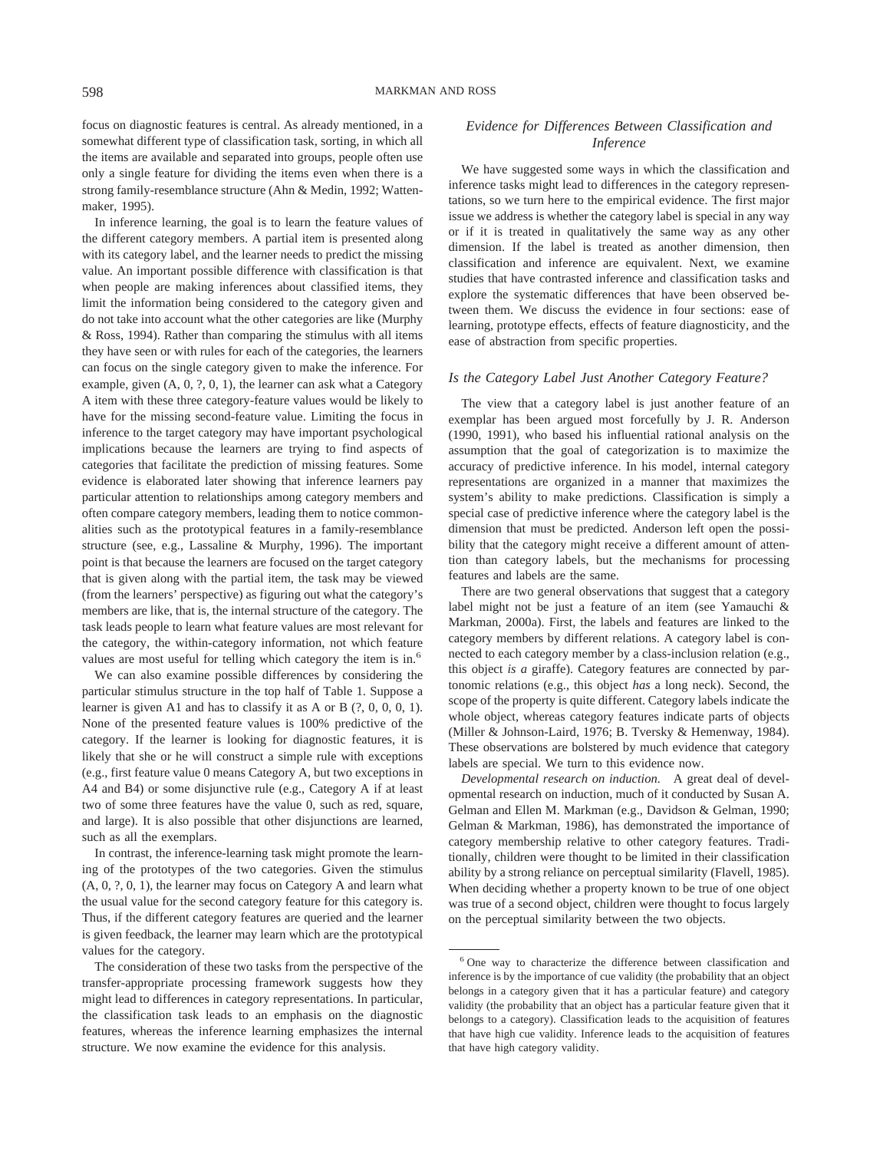focus on diagnostic features is central. As already mentioned, in a somewhat different type of classification task, sorting, in which all the items are available and separated into groups, people often use only a single feature for dividing the items even when there is a strong family-resemblance structure (Ahn & Medin, 1992; Wattenmaker, 1995).

In inference learning, the goal is to learn the feature values of the different category members. A partial item is presented along with its category label, and the learner needs to predict the missing value. An important possible difference with classification is that when people are making inferences about classified items, they limit the information being considered to the category given and do not take into account what the other categories are like (Murphy & Ross, 1994). Rather than comparing the stimulus with all items they have seen or with rules for each of the categories, the learners can focus on the single category given to make the inference. For example, given (A, 0, ?, 0, 1), the learner can ask what a Category A item with these three category-feature values would be likely to have for the missing second-feature value. Limiting the focus in inference to the target category may have important psychological implications because the learners are trying to find aspects of categories that facilitate the prediction of missing features. Some evidence is elaborated later showing that inference learners pay particular attention to relationships among category members and often compare category members, leading them to notice commonalities such as the prototypical features in a family-resemblance structure (see, e.g., Lassaline & Murphy, 1996). The important point is that because the learners are focused on the target category that is given along with the partial item, the task may be viewed (from the learners' perspective) as figuring out what the category's members are like, that is, the internal structure of the category. The task leads people to learn what feature values are most relevant for the category, the within-category information, not which feature values are most useful for telling which category the item is in.<sup>6</sup>

We can also examine possible differences by considering the particular stimulus structure in the top half of Table 1. Suppose a learner is given A1 and has to classify it as A or B (?, 0, 0, 0, 1). None of the presented feature values is 100% predictive of the category. If the learner is looking for diagnostic features, it is likely that she or he will construct a simple rule with exceptions (e.g., first feature value 0 means Category A, but two exceptions in A4 and B4) or some disjunctive rule (e.g., Category A if at least two of some three features have the value 0, such as red, square, and large). It is also possible that other disjunctions are learned, such as all the exemplars.

In contrast, the inference-learning task might promote the learning of the prototypes of the two categories. Given the stimulus (A, 0, ?, 0, 1), the learner may focus on Category A and learn what the usual value for the second category feature for this category is. Thus, if the different category features are queried and the learner is given feedback, the learner may learn which are the prototypical values for the category.

The consideration of these two tasks from the perspective of the transfer-appropriate processing framework suggests how they might lead to differences in category representations. In particular, the classification task leads to an emphasis on the diagnostic features, whereas the inference learning emphasizes the internal structure. We now examine the evidence for this analysis.

## *Evidence for Differences Between Classification and Inference*

We have suggested some ways in which the classification and inference tasks might lead to differences in the category representations, so we turn here to the empirical evidence. The first major issue we address is whether the category label is special in any way or if it is treated in qualitatively the same way as any other dimension. If the label is treated as another dimension, then classification and inference are equivalent. Next, we examine studies that have contrasted inference and classification tasks and explore the systematic differences that have been observed between them. We discuss the evidence in four sections: ease of learning, prototype effects, effects of feature diagnosticity, and the ease of abstraction from specific properties.

#### *Is the Category Label Just Another Category Feature?*

The view that a category label is just another feature of an exemplar has been argued most forcefully by J. R. Anderson (1990, 1991), who based his influential rational analysis on the assumption that the goal of categorization is to maximize the accuracy of predictive inference. In his model, internal category representations are organized in a manner that maximizes the system's ability to make predictions. Classification is simply a special case of predictive inference where the category label is the dimension that must be predicted. Anderson left open the possibility that the category might receive a different amount of attention than category labels, but the mechanisms for processing features and labels are the same.

There are two general observations that suggest that a category label might not be just a feature of an item (see Yamauchi & Markman, 2000a). First, the labels and features are linked to the category members by different relations. A category label is connected to each category member by a class-inclusion relation (e.g., this object *is a* giraffe). Category features are connected by partonomic relations (e.g., this object *has* a long neck). Second, the scope of the property is quite different. Category labels indicate the whole object, whereas category features indicate parts of objects (Miller & Johnson-Laird, 1976; B. Tversky & Hemenway, 1984). These observations are bolstered by much evidence that category labels are special. We turn to this evidence now.

*Developmental research on induction.* A great deal of developmental research on induction, much of it conducted by Susan A. Gelman and Ellen M. Markman (e.g., Davidson & Gelman, 1990; Gelman & Markman, 1986), has demonstrated the importance of category membership relative to other category features. Traditionally, children were thought to be limited in their classification ability by a strong reliance on perceptual similarity (Flavell, 1985). When deciding whether a property known to be true of one object was true of a second object, children were thought to focus largely on the perceptual similarity between the two objects.

<sup>6</sup> One way to characterize the difference between classification and inference is by the importance of cue validity (the probability that an object belongs in a category given that it has a particular feature) and category validity (the probability that an object has a particular feature given that it belongs to a category). Classification leads to the acquisition of features that have high cue validity. Inference leads to the acquisition of features that have high category validity.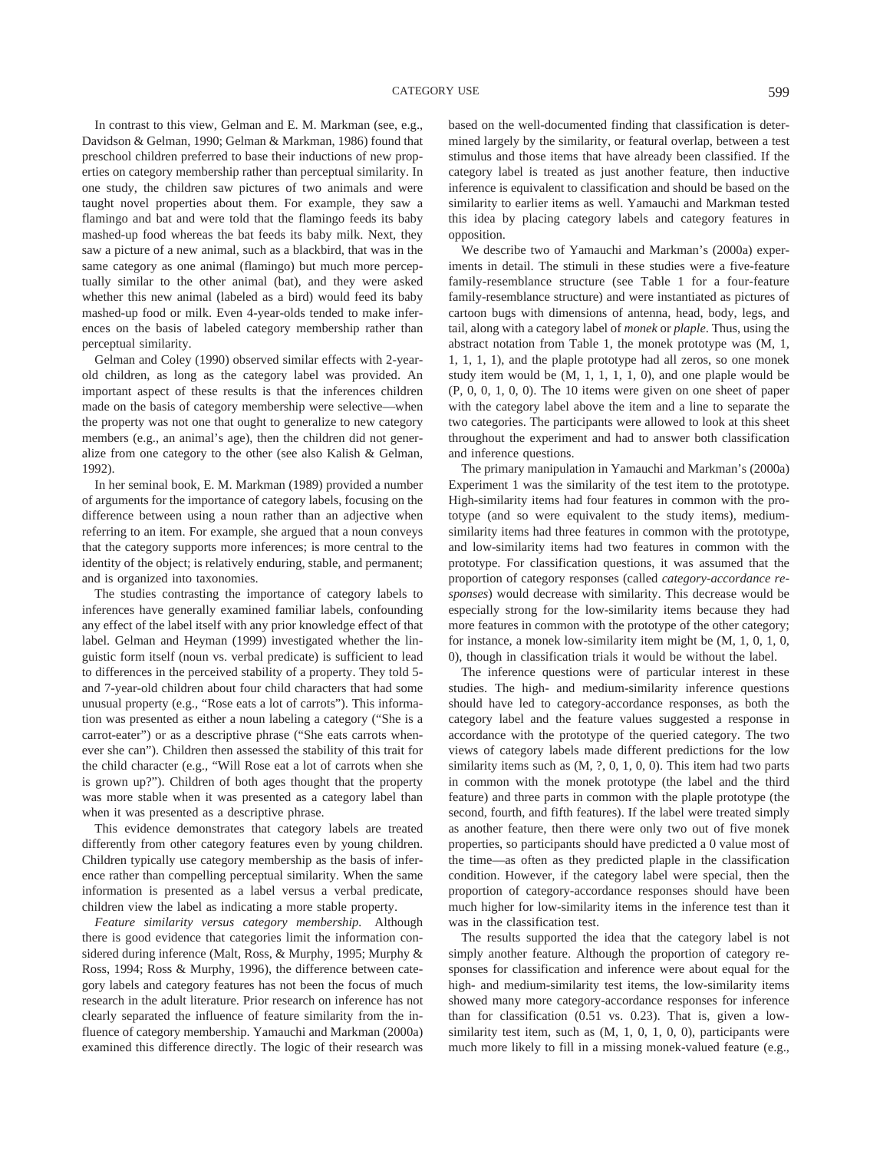In contrast to this view, Gelman and E. M. Markman (see, e.g., Davidson & Gelman, 1990; Gelman & Markman, 1986) found that preschool children preferred to base their inductions of new properties on category membership rather than perceptual similarity. In one study, the children saw pictures of two animals and were taught novel properties about them. For example, they saw a flamingo and bat and were told that the flamingo feeds its baby mashed-up food whereas the bat feeds its baby milk. Next, they saw a picture of a new animal, such as a blackbird, that was in the same category as one animal (flamingo) but much more perceptually similar to the other animal (bat), and they were asked whether this new animal (labeled as a bird) would feed its baby mashed-up food or milk. Even 4-year-olds tended to make inferences on the basis of labeled category membership rather than perceptual similarity.

Gelman and Coley (1990) observed similar effects with 2-yearold children, as long as the category label was provided. An important aspect of these results is that the inferences children made on the basis of category membership were selective—when the property was not one that ought to generalize to new category members (e.g., an animal's age), then the children did not generalize from one category to the other (see also Kalish & Gelman, 1992).

In her seminal book, E. M. Markman (1989) provided a number of arguments for the importance of category labels, focusing on the difference between using a noun rather than an adjective when referring to an item. For example, she argued that a noun conveys that the category supports more inferences; is more central to the identity of the object; is relatively enduring, stable, and permanent; and is organized into taxonomies.

The studies contrasting the importance of category labels to inferences have generally examined familiar labels, confounding any effect of the label itself with any prior knowledge effect of that label. Gelman and Heyman (1999) investigated whether the linguistic form itself (noun vs. verbal predicate) is sufficient to lead to differences in the perceived stability of a property. They told 5 and 7-year-old children about four child characters that had some unusual property (e.g., "Rose eats a lot of carrots"). This information was presented as either a noun labeling a category ("She is a carrot-eater") or as a descriptive phrase ("She eats carrots whenever she can"). Children then assessed the stability of this trait for the child character (e.g., "Will Rose eat a lot of carrots when she is grown up?"). Children of both ages thought that the property was more stable when it was presented as a category label than when it was presented as a descriptive phrase.

This evidence demonstrates that category labels are treated differently from other category features even by young children. Children typically use category membership as the basis of inference rather than compelling perceptual similarity. When the same information is presented as a label versus a verbal predicate, children view the label as indicating a more stable property.

*Feature similarity versus category membership.* Although there is good evidence that categories limit the information considered during inference (Malt, Ross, & Murphy, 1995; Murphy & Ross, 1994; Ross & Murphy, 1996), the difference between category labels and category features has not been the focus of much research in the adult literature. Prior research on inference has not clearly separated the influence of feature similarity from the influence of category membership. Yamauchi and Markman (2000a) examined this difference directly. The logic of their research was based on the well-documented finding that classification is determined largely by the similarity, or featural overlap, between a test stimulus and those items that have already been classified. If the category label is treated as just another feature, then inductive inference is equivalent to classification and should be based on the similarity to earlier items as well. Yamauchi and Markman tested this idea by placing category labels and category features in opposition.

We describe two of Yamauchi and Markman's (2000a) experiments in detail. The stimuli in these studies were a five-feature family-resemblance structure (see Table 1 for a four-feature family-resemblance structure) and were instantiated as pictures of cartoon bugs with dimensions of antenna, head, body, legs, and tail, along with a category label of *monek* or *plaple*. Thus, using the abstract notation from Table 1, the monek prototype was (M, 1, 1, 1, 1, 1), and the plaple prototype had all zeros, so one monek study item would be (M, 1, 1, 1, 1, 0), and one plaple would be (P, 0, 0, 1, 0, 0). The 10 items were given on one sheet of paper with the category label above the item and a line to separate the two categories. The participants were allowed to look at this sheet throughout the experiment and had to answer both classification and inference questions.

The primary manipulation in Yamauchi and Markman's (2000a) Experiment 1 was the similarity of the test item to the prototype. High-similarity items had four features in common with the prototype (and so were equivalent to the study items), mediumsimilarity items had three features in common with the prototype, and low-similarity items had two features in common with the prototype. For classification questions, it was assumed that the proportion of category responses (called *category-accordance responses*) would decrease with similarity. This decrease would be especially strong for the low-similarity items because they had more features in common with the prototype of the other category; for instance, a monek low-similarity item might be (M, 1, 0, 1, 0, 0), though in classification trials it would be without the label.

The inference questions were of particular interest in these studies. The high- and medium-similarity inference questions should have led to category-accordance responses, as both the category label and the feature values suggested a response in accordance with the prototype of the queried category. The two views of category labels made different predictions for the low similarity items such as  $(M, 2, 0, 1, 0, 0)$ . This item had two parts in common with the monek prototype (the label and the third feature) and three parts in common with the plaple prototype (the second, fourth, and fifth features). If the label were treated simply as another feature, then there were only two out of five monek properties, so participants should have predicted a 0 value most of the time—as often as they predicted plaple in the classification condition. However, if the category label were special, then the proportion of category-accordance responses should have been much higher for low-similarity items in the inference test than it was in the classification test.

The results supported the idea that the category label is not simply another feature. Although the proportion of category responses for classification and inference were about equal for the high- and medium-similarity test items, the low-similarity items showed many more category-accordance responses for inference than for classification (0.51 vs. 0.23). That is, given a lowsimilarity test item, such as  $(M, 1, 0, 1, 0, 0)$ , participants were much more likely to fill in a missing monek-valued feature (e.g.,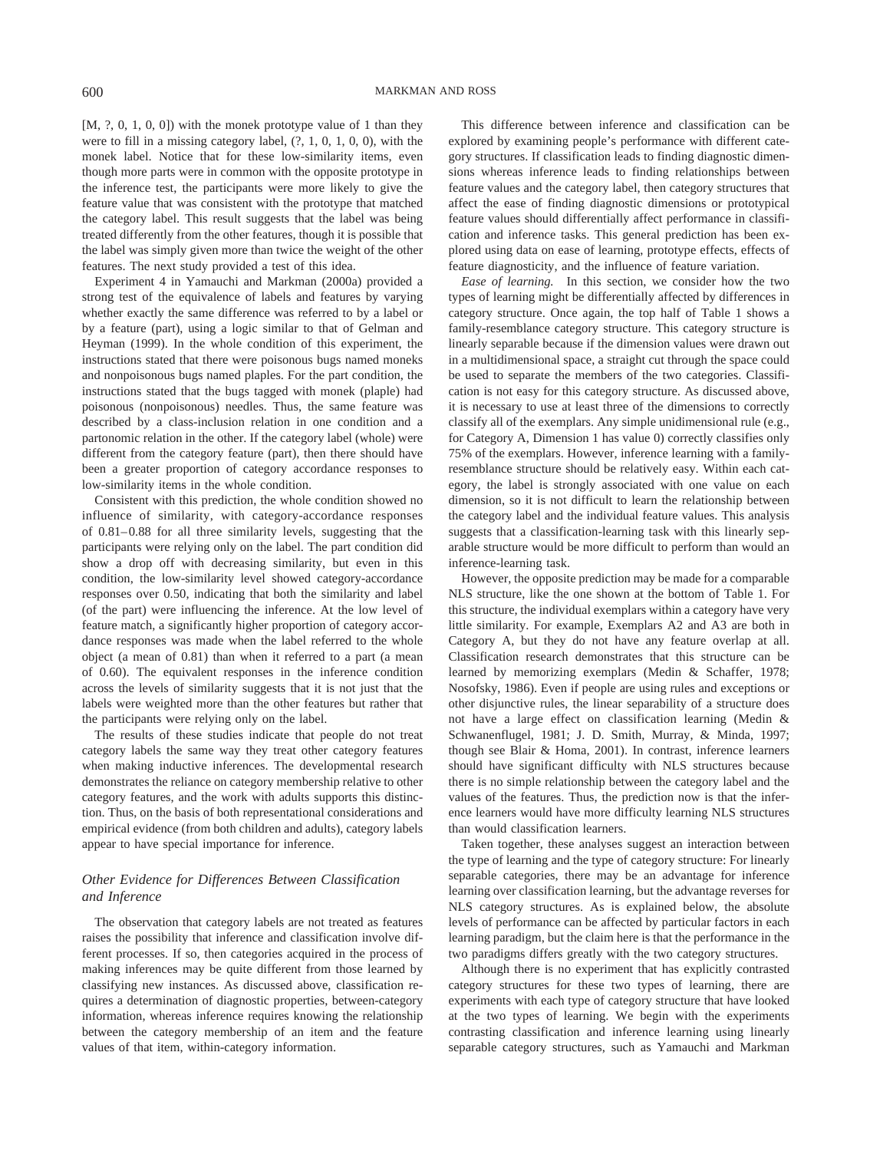$[M, 2, 0, 1, 0, 0]$  with the monek prototype value of 1 than they were to fill in a missing category label, (?, 1, 0, 1, 0, 0), with the monek label. Notice that for these low-similarity items, even though more parts were in common with the opposite prototype in the inference test, the participants were more likely to give the feature value that was consistent with the prototype that matched the category label. This result suggests that the label was being treated differently from the other features, though it is possible that the label was simply given more than twice the weight of the other features. The next study provided a test of this idea.

Experiment 4 in Yamauchi and Markman (2000a) provided a strong test of the equivalence of labels and features by varying whether exactly the same difference was referred to by a label or by a feature (part), using a logic similar to that of Gelman and Heyman (1999). In the whole condition of this experiment, the instructions stated that there were poisonous bugs named moneks and nonpoisonous bugs named plaples. For the part condition, the instructions stated that the bugs tagged with monek (plaple) had poisonous (nonpoisonous) needles. Thus, the same feature was described by a class-inclusion relation in one condition and a partonomic relation in the other. If the category label (whole) were different from the category feature (part), then there should have been a greater proportion of category accordance responses to low-similarity items in the whole condition.

Consistent with this prediction, the whole condition showed no influence of similarity, with category-accordance responses of 0.81–0.88 for all three similarity levels, suggesting that the participants were relying only on the label. The part condition did show a drop off with decreasing similarity, but even in this condition, the low-similarity level showed category-accordance responses over 0.50, indicating that both the similarity and label (of the part) were influencing the inference. At the low level of feature match, a significantly higher proportion of category accordance responses was made when the label referred to the whole object (a mean of 0.81) than when it referred to a part (a mean of 0.60). The equivalent responses in the inference condition across the levels of similarity suggests that it is not just that the labels were weighted more than the other features but rather that the participants were relying only on the label.

The results of these studies indicate that people do not treat category labels the same way they treat other category features when making inductive inferences. The developmental research demonstrates the reliance on category membership relative to other category features, and the work with adults supports this distinction. Thus, on the basis of both representational considerations and empirical evidence (from both children and adults), category labels appear to have special importance for inference.

# *Other Evidence for Differences Between Classification and Inference*

The observation that category labels are not treated as features raises the possibility that inference and classification involve different processes. If so, then categories acquired in the process of making inferences may be quite different from those learned by classifying new instances. As discussed above, classification requires a determination of diagnostic properties, between-category information, whereas inference requires knowing the relationship between the category membership of an item and the feature values of that item, within-category information.

This difference between inference and classification can be explored by examining people's performance with different category structures. If classification leads to finding diagnostic dimensions whereas inference leads to finding relationships between feature values and the category label, then category structures that affect the ease of finding diagnostic dimensions or prototypical feature values should differentially affect performance in classification and inference tasks. This general prediction has been explored using data on ease of learning, prototype effects, effects of feature diagnosticity, and the influence of feature variation.

*Ease of learning.* In this section, we consider how the two types of learning might be differentially affected by differences in category structure. Once again, the top half of Table 1 shows a family-resemblance category structure. This category structure is linearly separable because if the dimension values were drawn out in a multidimensional space, a straight cut through the space could be used to separate the members of the two categories. Classification is not easy for this category structure. As discussed above, it is necessary to use at least three of the dimensions to correctly classify all of the exemplars. Any simple unidimensional rule (e.g., for Category A, Dimension 1 has value 0) correctly classifies only 75% of the exemplars. However, inference learning with a familyresemblance structure should be relatively easy. Within each category, the label is strongly associated with one value on each dimension, so it is not difficult to learn the relationship between the category label and the individual feature values. This analysis suggests that a classification-learning task with this linearly separable structure would be more difficult to perform than would an inference-learning task.

However, the opposite prediction may be made for a comparable NLS structure, like the one shown at the bottom of Table 1. For this structure, the individual exemplars within a category have very little similarity. For example, Exemplars A2 and A3 are both in Category A, but they do not have any feature overlap at all. Classification research demonstrates that this structure can be learned by memorizing exemplars (Medin & Schaffer, 1978; Nosofsky, 1986). Even if people are using rules and exceptions or other disjunctive rules, the linear separability of a structure does not have a large effect on classification learning (Medin & Schwanenflugel, 1981; J. D. Smith, Murray, & Minda, 1997; though see Blair & Homa, 2001). In contrast, inference learners should have significant difficulty with NLS structures because there is no simple relationship between the category label and the values of the features. Thus, the prediction now is that the inference learners would have more difficulty learning NLS structures than would classification learners.

Taken together, these analyses suggest an interaction between the type of learning and the type of category structure: For linearly separable categories, there may be an advantage for inference learning over classification learning, but the advantage reverses for NLS category structures. As is explained below, the absolute levels of performance can be affected by particular factors in each learning paradigm, but the claim here is that the performance in the two paradigms differs greatly with the two category structures.

Although there is no experiment that has explicitly contrasted category structures for these two types of learning, there are experiments with each type of category structure that have looked at the two types of learning. We begin with the experiments contrasting classification and inference learning using linearly separable category structures, such as Yamauchi and Markman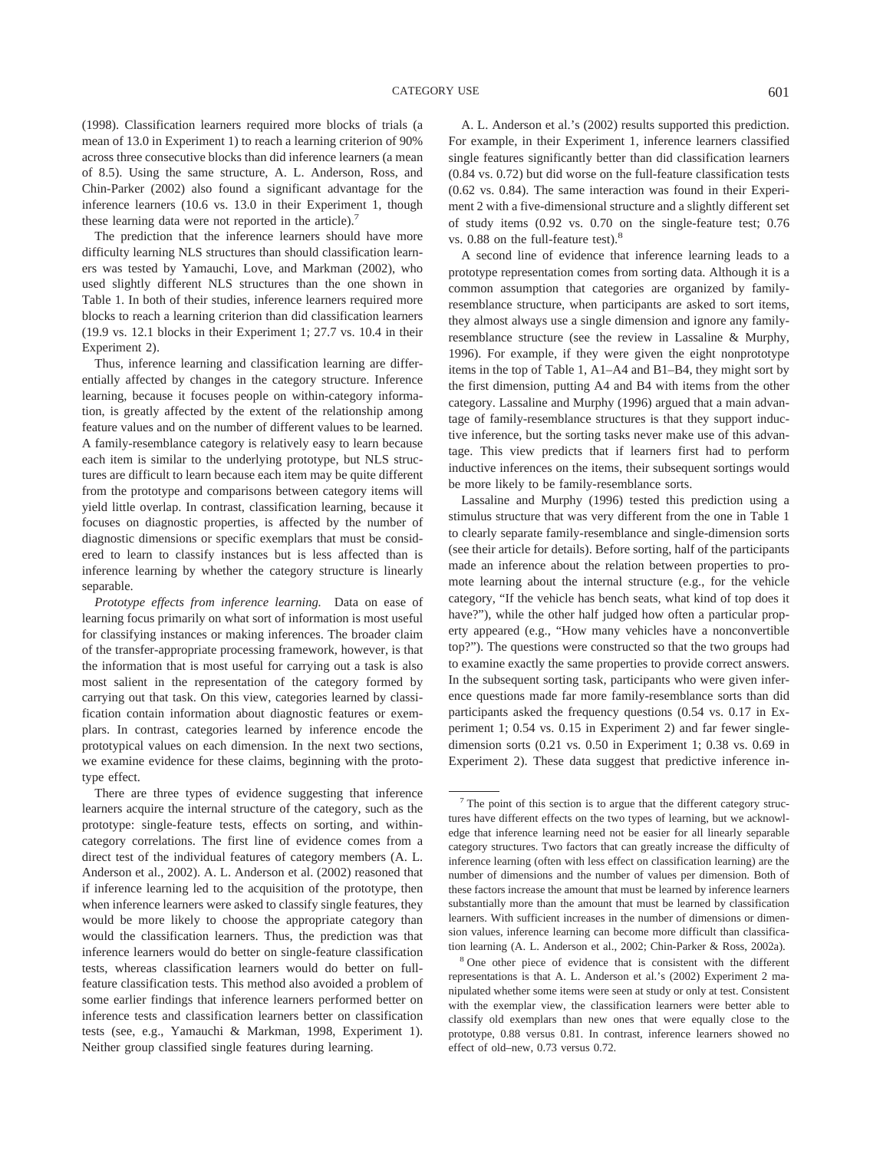(1998). Classification learners required more blocks of trials (a mean of 13.0 in Experiment 1) to reach a learning criterion of 90% across three consecutive blocks than did inference learners (a mean of 8.5). Using the same structure, A. L. Anderson, Ross, and Chin-Parker (2002) also found a significant advantage for the inference learners (10.6 vs. 13.0 in their Experiment 1, though these learning data were not reported in the article).<sup>7</sup>

The prediction that the inference learners should have more difficulty learning NLS structures than should classification learners was tested by Yamauchi, Love, and Markman (2002), who used slightly different NLS structures than the one shown in Table 1. In both of their studies, inference learners required more blocks to reach a learning criterion than did classification learners (19.9 vs. 12.1 blocks in their Experiment 1; 27.7 vs. 10.4 in their Experiment 2).

Thus, inference learning and classification learning are differentially affected by changes in the category structure. Inference learning, because it focuses people on within-category information, is greatly affected by the extent of the relationship among feature values and on the number of different values to be learned. A family-resemblance category is relatively easy to learn because each item is similar to the underlying prototype, but NLS structures are difficult to learn because each item may be quite different from the prototype and comparisons between category items will yield little overlap. In contrast, classification learning, because it focuses on diagnostic properties, is affected by the number of diagnostic dimensions or specific exemplars that must be considered to learn to classify instances but is less affected than is inference learning by whether the category structure is linearly separable.

*Prototype effects from inference learning.* Data on ease of learning focus primarily on what sort of information is most useful for classifying instances or making inferences. The broader claim of the transfer-appropriate processing framework, however, is that the information that is most useful for carrying out a task is also most salient in the representation of the category formed by carrying out that task. On this view, categories learned by classification contain information about diagnostic features or exemplars. In contrast, categories learned by inference encode the prototypical values on each dimension. In the next two sections, we examine evidence for these claims, beginning with the prototype effect.

There are three types of evidence suggesting that inference learners acquire the internal structure of the category, such as the prototype: single-feature tests, effects on sorting, and withincategory correlations. The first line of evidence comes from a direct test of the individual features of category members (A. L. Anderson et al., 2002). A. L. Anderson et al. (2002) reasoned that if inference learning led to the acquisition of the prototype, then when inference learners were asked to classify single features, they would be more likely to choose the appropriate category than would the classification learners. Thus, the prediction was that inference learners would do better on single-feature classification tests, whereas classification learners would do better on fullfeature classification tests. This method also avoided a problem of some earlier findings that inference learners performed better on inference tests and classification learners better on classification tests (see, e.g., Yamauchi & Markman, 1998, Experiment 1). Neither group classified single features during learning.

A. L. Anderson et al.'s (2002) results supported this prediction. For example, in their Experiment 1, inference learners classified single features significantly better than did classification learners (0.84 vs. 0.72) but did worse on the full-feature classification tests (0.62 vs. 0.84). The same interaction was found in their Experiment 2 with a five-dimensional structure and a slightly different set of study items (0.92 vs. 0.70 on the single-feature test; 0.76 vs. 0.88 on the full-feature test).<sup>8</sup>

A second line of evidence that inference learning leads to a prototype representation comes from sorting data. Although it is a common assumption that categories are organized by familyresemblance structure, when participants are asked to sort items, they almost always use a single dimension and ignore any familyresemblance structure (see the review in Lassaline & Murphy, 1996). For example, if they were given the eight nonprototype items in the top of Table 1, A1–A4 and B1–B4, they might sort by the first dimension, putting A4 and B4 with items from the other category. Lassaline and Murphy (1996) argued that a main advantage of family-resemblance structures is that they support inductive inference, but the sorting tasks never make use of this advantage. This view predicts that if learners first had to perform inductive inferences on the items, their subsequent sortings would be more likely to be family-resemblance sorts.

Lassaline and Murphy (1996) tested this prediction using a stimulus structure that was very different from the one in Table 1 to clearly separate family-resemblance and single-dimension sorts (see their article for details). Before sorting, half of the participants made an inference about the relation between properties to promote learning about the internal structure (e.g., for the vehicle category, "If the vehicle has bench seats, what kind of top does it have?"), while the other half judged how often a particular property appeared (e.g., "How many vehicles have a nonconvertible top?"). The questions were constructed so that the two groups had to examine exactly the same properties to provide correct answers. In the subsequent sorting task, participants who were given inference questions made far more family-resemblance sorts than did participants asked the frequency questions (0.54 vs. 0.17 in Experiment 1; 0.54 vs. 0.15 in Experiment 2) and far fewer singledimension sorts (0.21 vs. 0.50 in Experiment 1; 0.38 vs. 0.69 in Experiment 2). These data suggest that predictive inference in-

<sup>7</sup> The point of this section is to argue that the different category structures have different effects on the two types of learning, but we acknowledge that inference learning need not be easier for all linearly separable category structures. Two factors that can greatly increase the difficulty of inference learning (often with less effect on classification learning) are the number of dimensions and the number of values per dimension. Both of these factors increase the amount that must be learned by inference learners substantially more than the amount that must be learned by classification learners. With sufficient increases in the number of dimensions or dimension values, inference learning can become more difficult than classification learning (A. L. Anderson et al., 2002; Chin-Parker & Ross, 2002a).

<sup>8</sup> One other piece of evidence that is consistent with the different representations is that A. L. Anderson et al.'s (2002) Experiment 2 manipulated whether some items were seen at study or only at test. Consistent with the exemplar view, the classification learners were better able to classify old exemplars than new ones that were equally close to the prototype, 0.88 versus 0.81. In contrast, inference learners showed no effect of old–new, 0.73 versus 0.72.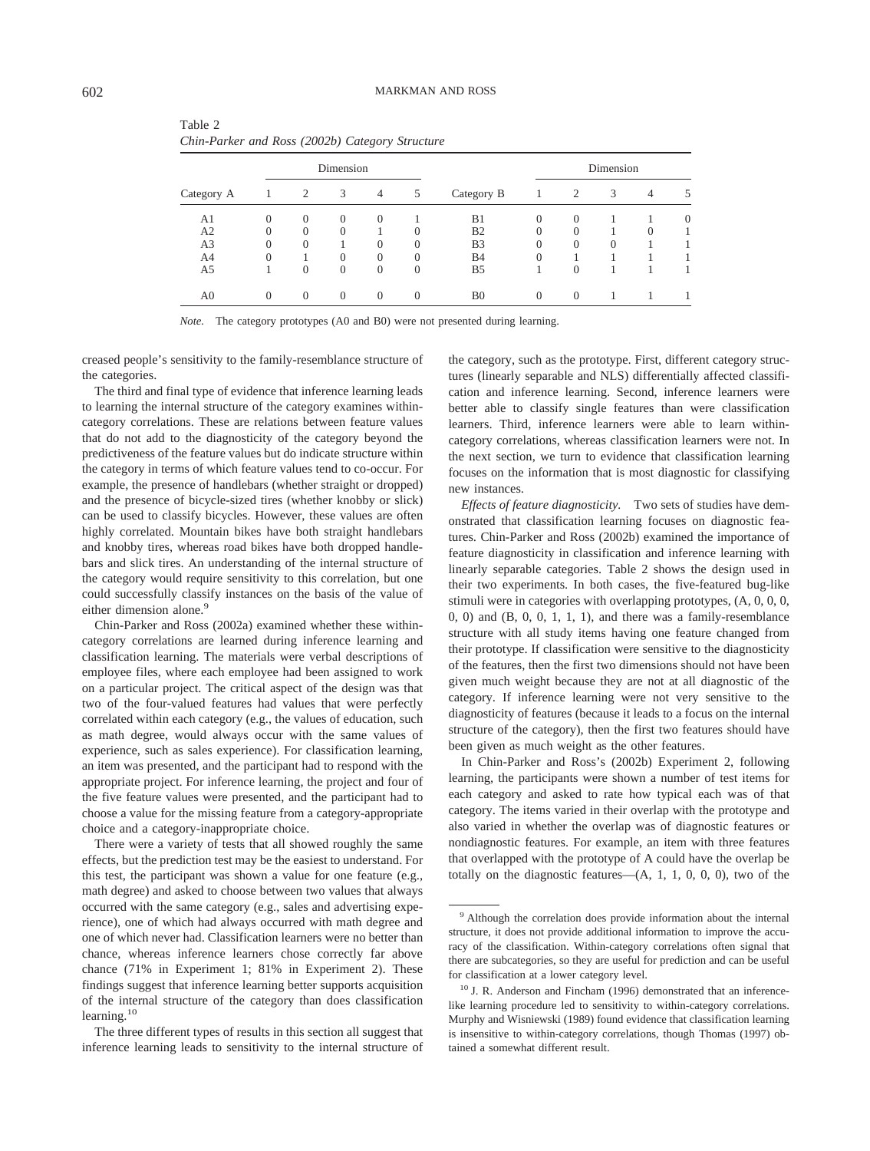|                |              | Dimension      |                |                |          |                |                | Dimension      |          |                |          |
|----------------|--------------|----------------|----------------|----------------|----------|----------------|----------------|----------------|----------|----------------|----------|
| Category A     |              | 2              | 3              | $\overline{4}$ | 5        | Category B     |                | 2              | 3        | $\overline{4}$ | 5        |
| A <sub>1</sub> | $\Omega$     | $\overline{0}$ | $\theta$       | $\Omega$       |          | B1             | $\Omega$       | $\overline{0}$ |          |                | $\Omega$ |
| A <sub>2</sub> | 0            | 0              | $\theta$       |                | $\Omega$ | B <sub>2</sub> | $\overline{0}$ | 0              |          | $\Omega$       |          |
| A <sub>3</sub> | 0            | 0              |                | $\Omega$       | $\Omega$ | B <sub>3</sub> | $\overline{0}$ | $\overline{0}$ | $\theta$ |                |          |
| A4             | 0            |                | $\overline{0}$ | $\Omega$       | $\theta$ | <b>B4</b>      | $\overline{0}$ |                |          |                |          |
| A5             |              | 0              | $\overline{0}$ | $\overline{0}$ | $\theta$ | B <sub>5</sub> |                | $\overline{0}$ |          |                |          |
| A <sub>0</sub> | $\mathbf{0}$ | $\overline{0}$ | $\theta$       | $\theta$       | $\theta$ | B <sub>0</sub> | $\overline{0}$ | $\overline{0}$ |          |                |          |

Table 2 *Chin-Parker and Ross (2002b) Category Structure*

*Note.* The category prototypes (A0 and B0) were not presented during learning.

creased people's sensitivity to the family-resemblance structure of the categories.

The third and final type of evidence that inference learning leads to learning the internal structure of the category examines withincategory correlations. These are relations between feature values that do not add to the diagnosticity of the category beyond the predictiveness of the feature values but do indicate structure within the category in terms of which feature values tend to co-occur. For example, the presence of handlebars (whether straight or dropped) and the presence of bicycle-sized tires (whether knobby or slick) can be used to classify bicycles. However, these values are often highly correlated. Mountain bikes have both straight handlebars and knobby tires, whereas road bikes have both dropped handlebars and slick tires. An understanding of the internal structure of the category would require sensitivity to this correlation, but one could successfully classify instances on the basis of the value of either dimension alone.<sup>9</sup>

Chin-Parker and Ross (2002a) examined whether these withincategory correlations are learned during inference learning and classification learning. The materials were verbal descriptions of employee files, where each employee had been assigned to work on a particular project. The critical aspect of the design was that two of the four-valued features had values that were perfectly correlated within each category (e.g., the values of education, such as math degree, would always occur with the same values of experience, such as sales experience). For classification learning, an item was presented, and the participant had to respond with the appropriate project. For inference learning, the project and four of the five feature values were presented, and the participant had to choose a value for the missing feature from a category-appropriate choice and a category-inappropriate choice.

There were a variety of tests that all showed roughly the same effects, but the prediction test may be the easiest to understand. For this test, the participant was shown a value for one feature (e.g., math degree) and asked to choose between two values that always occurred with the same category (e.g., sales and advertising experience), one of which had always occurred with math degree and one of which never had. Classification learners were no better than chance, whereas inference learners chose correctly far above chance (71% in Experiment 1; 81% in Experiment 2). These findings suggest that inference learning better supports acquisition of the internal structure of the category than does classification learning.<sup>10</sup>

The three different types of results in this section all suggest that inference learning leads to sensitivity to the internal structure of the category, such as the prototype. First, different category structures (linearly separable and NLS) differentially affected classification and inference learning. Second, inference learners were better able to classify single features than were classification learners. Third, inference learners were able to learn withincategory correlations, whereas classification learners were not. In the next section, we turn to evidence that classification learning focuses on the information that is most diagnostic for classifying new instances.

*Effects of feature diagnosticity.* Two sets of studies have demonstrated that classification learning focuses on diagnostic features. Chin-Parker and Ross (2002b) examined the importance of feature diagnosticity in classification and inference learning with linearly separable categories. Table 2 shows the design used in their two experiments. In both cases, the five-featured bug-like stimuli were in categories with overlapping prototypes, (A, 0, 0, 0,  $(0, 0)$  and  $(B, 0, 0, 1, 1, 1)$ , and there was a family-resemblance structure with all study items having one feature changed from their prototype. If classification were sensitive to the diagnosticity of the features, then the first two dimensions should not have been given much weight because they are not at all diagnostic of the category. If inference learning were not very sensitive to the diagnosticity of features (because it leads to a focus on the internal structure of the category), then the first two features should have been given as much weight as the other features.

In Chin-Parker and Ross's (2002b) Experiment 2, following learning, the participants were shown a number of test items for each category and asked to rate how typical each was of that category. The items varied in their overlap with the prototype and also varied in whether the overlap was of diagnostic features or nondiagnostic features. For example, an item with three features that overlapped with the prototype of A could have the overlap be totally on the diagnostic features— $(A, 1, 1, 0, 0, 0)$ , two of the

<sup>9</sup> Although the correlation does provide information about the internal structure, it does not provide additional information to improve the accuracy of the classification. Within-category correlations often signal that there are subcategories, so they are useful for prediction and can be useful for classification at a lower category level.

<sup>&</sup>lt;sup>10</sup> J. R. Anderson and Fincham (1996) demonstrated that an inferencelike learning procedure led to sensitivity to within-category correlations. Murphy and Wisniewski (1989) found evidence that classification learning is insensitive to within-category correlations, though Thomas (1997) obtained a somewhat different result.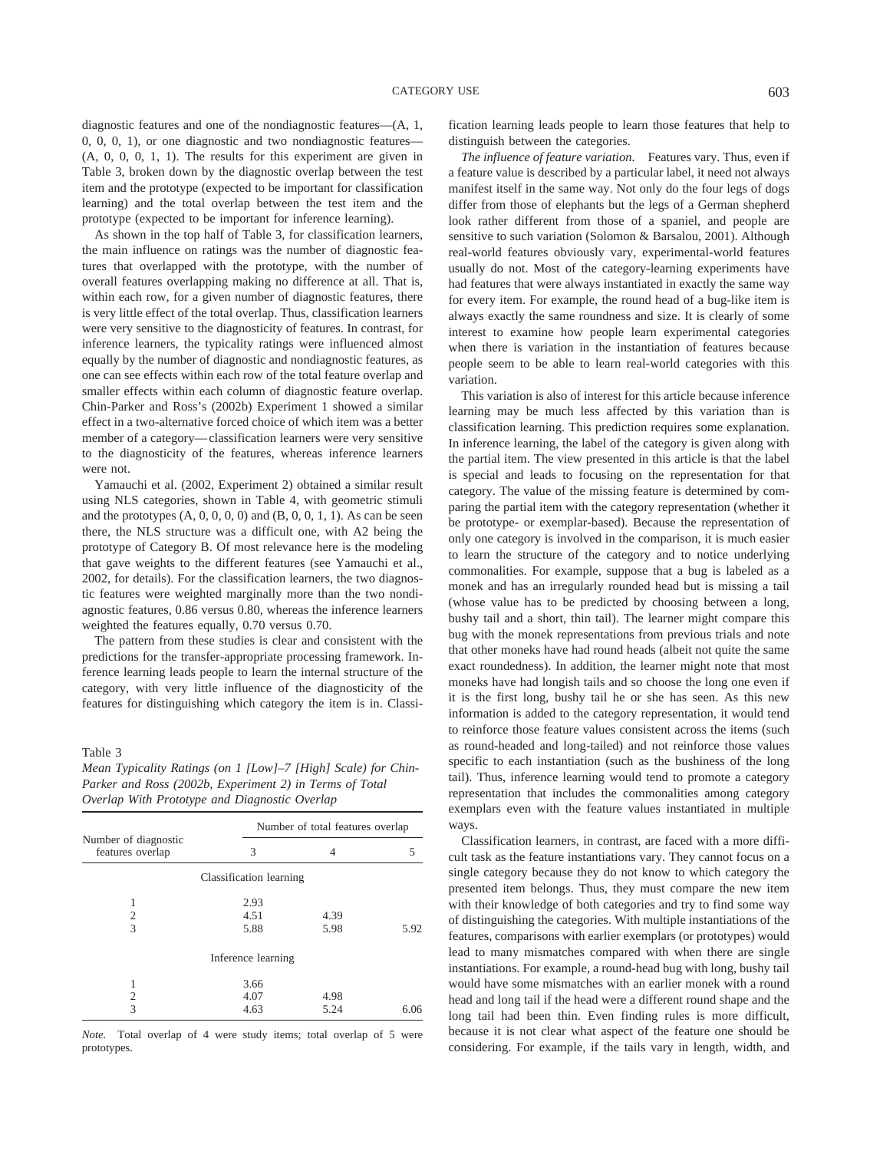diagnostic features and one of the nondiagnostic features—(A, 1, 0, 0, 0, 1), or one diagnostic and two nondiagnostic features— (A, 0, 0, 0, 1, 1). The results for this experiment are given in Table 3, broken down by the diagnostic overlap between the test item and the prototype (expected to be important for classification learning) and the total overlap between the test item and the prototype (expected to be important for inference learning).

As shown in the top half of Table 3, for classification learners, the main influence on ratings was the number of diagnostic features that overlapped with the prototype, with the number of overall features overlapping making no difference at all. That is, within each row, for a given number of diagnostic features, there is very little effect of the total overlap. Thus, classification learners were very sensitive to the diagnosticity of features. In contrast, for inference learners, the typicality ratings were influenced almost equally by the number of diagnostic and nondiagnostic features, as one can see effects within each row of the total feature overlap and smaller effects within each column of diagnostic feature overlap. Chin-Parker and Ross's (2002b) Experiment 1 showed a similar effect in a two-alternative forced choice of which item was a better member of a category—classification learners were very sensitive to the diagnosticity of the features, whereas inference learners were not.

Yamauchi et al. (2002, Experiment 2) obtained a similar result using NLS categories, shown in Table 4, with geometric stimuli and the prototypes  $(A, 0, 0, 0, 0)$  and  $(B, 0, 0, 1, 1)$ . As can be seen there, the NLS structure was a difficult one, with A2 being the prototype of Category B. Of most relevance here is the modeling that gave weights to the different features (see Yamauchi et al., 2002, for details). For the classification learners, the two diagnostic features were weighted marginally more than the two nondiagnostic features, 0.86 versus 0.80, whereas the inference learners weighted the features equally, 0.70 versus 0.70.

The pattern from these studies is clear and consistent with the predictions for the transfer-appropriate processing framework. Inference learning leads people to learn the internal structure of the category, with very little influence of the diagnosticity of the features for distinguishing which category the item is in. Classi-

#### Table 3

*Mean Typicality Ratings (on 1 [Low]–7 [High] Scale) for Chin-Parker and Ross (2002b, Experiment 2) in Terms of Total Overlap With Prototype and Diagnostic Overlap*

|                                          | Number of total features overlap |      |      |  |  |
|------------------------------------------|----------------------------------|------|------|--|--|
| Number of diagnostic<br>features overlap | 3                                | 4    |      |  |  |
|                                          | Classification learning          |      |      |  |  |
|                                          | 2.93                             |      |      |  |  |
| $\mathcal{D}_{\mathcal{L}}$              | 4.51                             | 4.39 |      |  |  |
| 3                                        | 5.88                             | 5.98 | 5.92 |  |  |
|                                          | Inference learning               |      |      |  |  |
| 1                                        | 3.66                             |      |      |  |  |
| 2                                        | 4.07                             | 4.98 |      |  |  |
| 3                                        | 4.63                             | 5.24 | 6.06 |  |  |

*Note.* Total overlap of 4 were study items; total overlap of 5 were prototypes.

fication learning leads people to learn those features that help to distinguish between the categories.

*The influence of feature variation.* Features vary. Thus, even if a feature value is described by a particular label, it need not always manifest itself in the same way. Not only do the four legs of dogs differ from those of elephants but the legs of a German shepherd look rather different from those of a spaniel, and people are sensitive to such variation (Solomon & Barsalou, 2001). Although real-world features obviously vary, experimental-world features usually do not. Most of the category-learning experiments have had features that were always instantiated in exactly the same way for every item. For example, the round head of a bug-like item is always exactly the same roundness and size. It is clearly of some interest to examine how people learn experimental categories when there is variation in the instantiation of features because people seem to be able to learn real-world categories with this variation.

This variation is also of interest for this article because inference learning may be much less affected by this variation than is classification learning. This prediction requires some explanation. In inference learning, the label of the category is given along with the partial item. The view presented in this article is that the label is special and leads to focusing on the representation for that category. The value of the missing feature is determined by comparing the partial item with the category representation (whether it be prototype- or exemplar-based). Because the representation of only one category is involved in the comparison, it is much easier to learn the structure of the category and to notice underlying commonalities. For example, suppose that a bug is labeled as a monek and has an irregularly rounded head but is missing a tail (whose value has to be predicted by choosing between a long, bushy tail and a short, thin tail). The learner might compare this bug with the monek representations from previous trials and note that other moneks have had round heads (albeit not quite the same exact roundedness). In addition, the learner might note that most moneks have had longish tails and so choose the long one even if it is the first long, bushy tail he or she has seen. As this new information is added to the category representation, it would tend to reinforce those feature values consistent across the items (such as round-headed and long-tailed) and not reinforce those values specific to each instantiation (such as the bushiness of the long tail). Thus, inference learning would tend to promote a category representation that includes the commonalities among category exemplars even with the feature values instantiated in multiple ways.

Classification learners, in contrast, are faced with a more difficult task as the feature instantiations vary. They cannot focus on a single category because they do not know to which category the presented item belongs. Thus, they must compare the new item with their knowledge of both categories and try to find some way of distinguishing the categories. With multiple instantiations of the features, comparisons with earlier exemplars (or prototypes) would lead to many mismatches compared with when there are single instantiations. For example, a round-head bug with long, bushy tail would have some mismatches with an earlier monek with a round head and long tail if the head were a different round shape and the long tail had been thin. Even finding rules is more difficult, because it is not clear what aspect of the feature one should be considering. For example, if the tails vary in length, width, and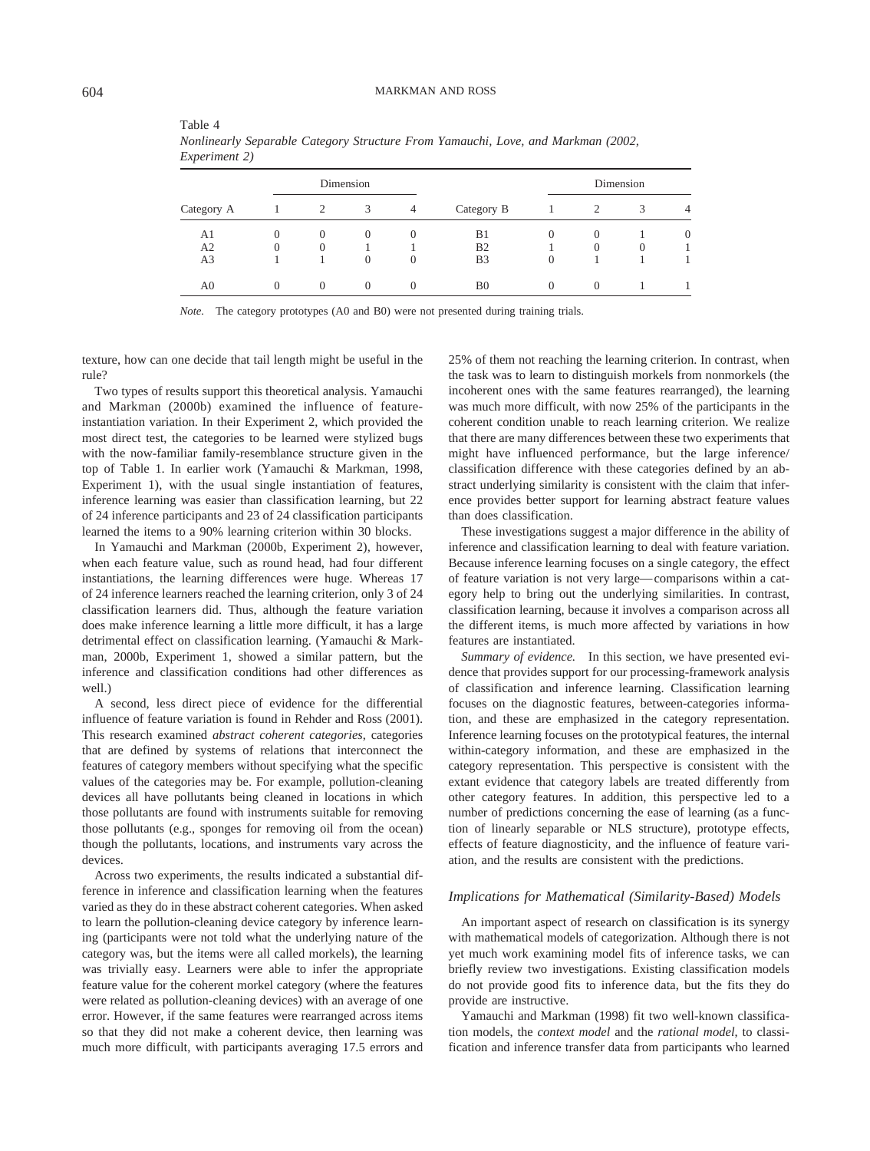|                | Dimension |          |          |          |                | Dimension      |          |          |                |
|----------------|-----------|----------|----------|----------|----------------|----------------|----------|----------|----------------|
| Category A     |           | 2        | 3        | 4        | Category B     |                |          |          | $\overline{4}$ |
| A <sub>1</sub> | 0         | $\Omega$ | $\theta$ | 0        | B <sub>1</sub> | 0              |          |          | $\mathbf{0}$   |
| A <sub>2</sub> | $\theta$  | $\theta$ |          |          | B <sub>2</sub> |                | $\Omega$ | $\theta$ |                |
| A <sub>3</sub> |           |          | $\theta$ | $\theta$ | B <sub>3</sub> | $\overline{0}$ |          |          |                |
| A <sub>0</sub> | 0         | $\Omega$ | $\Omega$ | $\theta$ | B <sub>0</sub> | $\mathbf{0}$   | $\Omega$ |          |                |

Table 4 *Nonlinearly Separable Category Structure From Yamauchi, Love, and Markman (2002, Experiment 2)*

*Note.* The category prototypes (A0 and B0) were not presented during training trials.

texture, how can one decide that tail length might be useful in the rule?

Two types of results support this theoretical analysis. Yamauchi and Markman (2000b) examined the influence of featureinstantiation variation. In their Experiment 2, which provided the most direct test, the categories to be learned were stylized bugs with the now-familiar family-resemblance structure given in the top of Table 1. In earlier work (Yamauchi & Markman, 1998, Experiment 1), with the usual single instantiation of features, inference learning was easier than classification learning, but 22 of 24 inference participants and 23 of 24 classification participants learned the items to a 90% learning criterion within 30 blocks.

In Yamauchi and Markman (2000b, Experiment 2), however, when each feature value, such as round head, had four different instantiations, the learning differences were huge. Whereas 17 of 24 inference learners reached the learning criterion, only 3 of 24 classification learners did. Thus, although the feature variation does make inference learning a little more difficult, it has a large detrimental effect on classification learning. (Yamauchi & Markman, 2000b, Experiment 1, showed a similar pattern, but the inference and classification conditions had other differences as well.)

A second, less direct piece of evidence for the differential influence of feature variation is found in Rehder and Ross (2001). This research examined *abstract coherent categories*, categories that are defined by systems of relations that interconnect the features of category members without specifying what the specific values of the categories may be. For example, pollution-cleaning devices all have pollutants being cleaned in locations in which those pollutants are found with instruments suitable for removing those pollutants (e.g., sponges for removing oil from the ocean) though the pollutants, locations, and instruments vary across the devices.

Across two experiments, the results indicated a substantial difference in inference and classification learning when the features varied as they do in these abstract coherent categories. When asked to learn the pollution-cleaning device category by inference learning (participants were not told what the underlying nature of the category was, but the items were all called morkels), the learning was trivially easy. Learners were able to infer the appropriate feature value for the coherent morkel category (where the features were related as pollution-cleaning devices) with an average of one error. However, if the same features were rearranged across items so that they did not make a coherent device, then learning was much more difficult, with participants averaging 17.5 errors and 25% of them not reaching the learning criterion. In contrast, when the task was to learn to distinguish morkels from nonmorkels (the incoherent ones with the same features rearranged), the learning was much more difficult, with now 25% of the participants in the coherent condition unable to reach learning criterion. We realize that there are many differences between these two experiments that might have influenced performance, but the large inference/ classification difference with these categories defined by an abstract underlying similarity is consistent with the claim that inference provides better support for learning abstract feature values than does classification.

These investigations suggest a major difference in the ability of inference and classification learning to deal with feature variation. Because inference learning focuses on a single category, the effect of feature variation is not very large—comparisons within a category help to bring out the underlying similarities. In contrast, classification learning, because it involves a comparison across all the different items, is much more affected by variations in how features are instantiated.

*Summary of evidence.* In this section, we have presented evidence that provides support for our processing-framework analysis of classification and inference learning. Classification learning focuses on the diagnostic features, between-categories information, and these are emphasized in the category representation. Inference learning focuses on the prototypical features, the internal within-category information, and these are emphasized in the category representation. This perspective is consistent with the extant evidence that category labels are treated differently from other category features. In addition, this perspective led to a number of predictions concerning the ease of learning (as a function of linearly separable or NLS structure), prototype effects, effects of feature diagnosticity, and the influence of feature variation, and the results are consistent with the predictions.

#### *Implications for Mathematical (Similarity-Based) Models*

An important aspect of research on classification is its synergy with mathematical models of categorization. Although there is not yet much work examining model fits of inference tasks, we can briefly review two investigations. Existing classification models do not provide good fits to inference data, but the fits they do provide are instructive.

Yamauchi and Markman (1998) fit two well-known classification models, the *context model* and the *rational model*, to classification and inference transfer data from participants who learned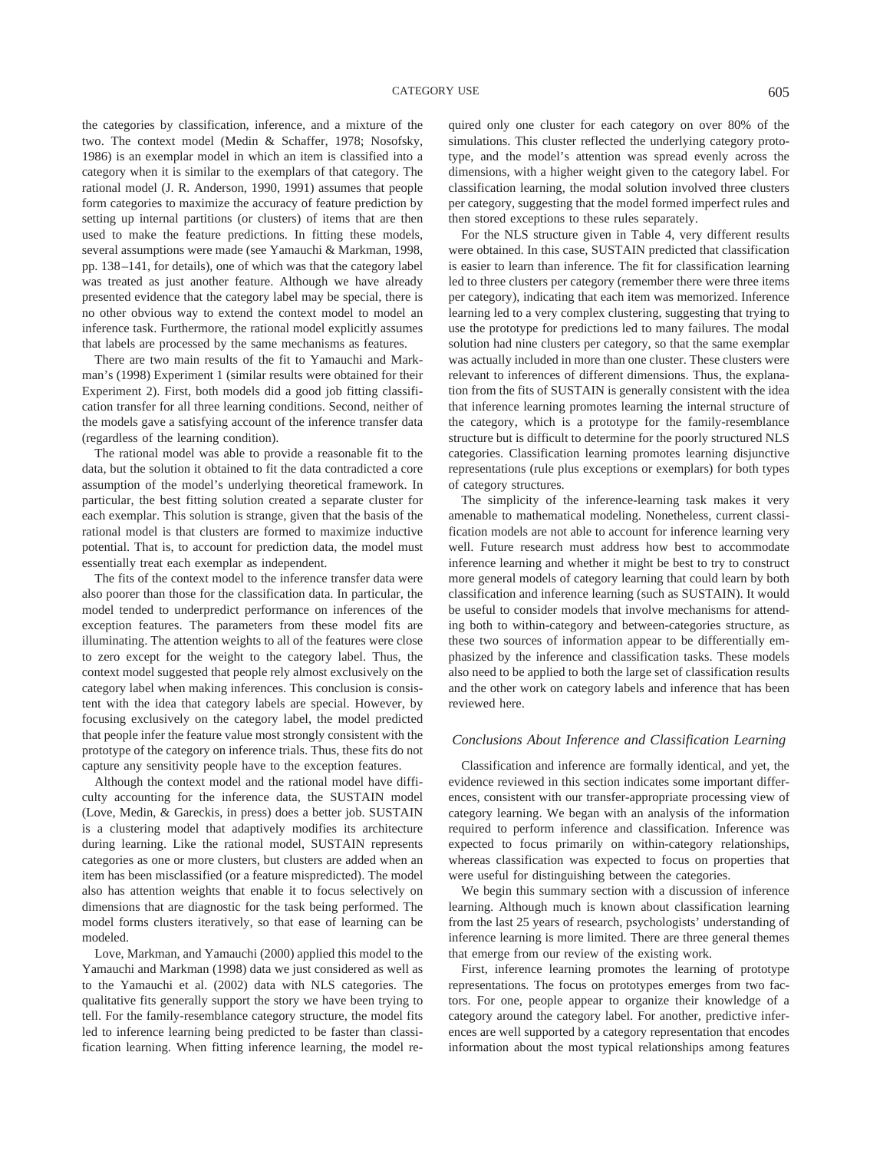the categories by classification, inference, and a mixture of the two. The context model (Medin & Schaffer, 1978; Nosofsky, 1986) is an exemplar model in which an item is classified into a category when it is similar to the exemplars of that category. The rational model (J. R. Anderson, 1990, 1991) assumes that people form categories to maximize the accuracy of feature prediction by setting up internal partitions (or clusters) of items that are then used to make the feature predictions. In fitting these models, several assumptions were made (see Yamauchi & Markman, 1998, pp. 138–141, for details), one of which was that the category label was treated as just another feature. Although we have already presented evidence that the category label may be special, there is no other obvious way to extend the context model to model an inference task. Furthermore, the rational model explicitly assumes that labels are processed by the same mechanisms as features.

There are two main results of the fit to Yamauchi and Markman's (1998) Experiment 1 (similar results were obtained for their Experiment 2). First, both models did a good job fitting classification transfer for all three learning conditions. Second, neither of the models gave a satisfying account of the inference transfer data (regardless of the learning condition).

The rational model was able to provide a reasonable fit to the data, but the solution it obtained to fit the data contradicted a core assumption of the model's underlying theoretical framework. In particular, the best fitting solution created a separate cluster for each exemplar. This solution is strange, given that the basis of the rational model is that clusters are formed to maximize inductive potential. That is, to account for prediction data, the model must essentially treat each exemplar as independent.

The fits of the context model to the inference transfer data were also poorer than those for the classification data. In particular, the model tended to underpredict performance on inferences of the exception features. The parameters from these model fits are illuminating. The attention weights to all of the features were close to zero except for the weight to the category label. Thus, the context model suggested that people rely almost exclusively on the category label when making inferences. This conclusion is consistent with the idea that category labels are special. However, by focusing exclusively on the category label, the model predicted that people infer the feature value most strongly consistent with the prototype of the category on inference trials. Thus, these fits do not capture any sensitivity people have to the exception features.

Although the context model and the rational model have difficulty accounting for the inference data, the SUSTAIN model (Love, Medin, & Gareckis, in press) does a better job. SUSTAIN is a clustering model that adaptively modifies its architecture during learning. Like the rational model, SUSTAIN represents categories as one or more clusters, but clusters are added when an item has been misclassified (or a feature mispredicted). The model also has attention weights that enable it to focus selectively on dimensions that are diagnostic for the task being performed. The model forms clusters iteratively, so that ease of learning can be modeled.

Love, Markman, and Yamauchi (2000) applied this model to the Yamauchi and Markman (1998) data we just considered as well as to the Yamauchi et al. (2002) data with NLS categories. The qualitative fits generally support the story we have been trying to tell. For the family-resemblance category structure, the model fits led to inference learning being predicted to be faster than classification learning. When fitting inference learning, the model required only one cluster for each category on over 80% of the simulations. This cluster reflected the underlying category prototype, and the model's attention was spread evenly across the dimensions, with a higher weight given to the category label. For classification learning, the modal solution involved three clusters per category, suggesting that the model formed imperfect rules and then stored exceptions to these rules separately.

For the NLS structure given in Table 4, very different results were obtained. In this case, SUSTAIN predicted that classification is easier to learn than inference. The fit for classification learning led to three clusters per category (remember there were three items per category), indicating that each item was memorized. Inference learning led to a very complex clustering, suggesting that trying to use the prototype for predictions led to many failures. The modal solution had nine clusters per category, so that the same exemplar was actually included in more than one cluster. These clusters were relevant to inferences of different dimensions. Thus, the explanation from the fits of SUSTAIN is generally consistent with the idea that inference learning promotes learning the internal structure of the category, which is a prototype for the family-resemblance structure but is difficult to determine for the poorly structured NLS categories. Classification learning promotes learning disjunctive representations (rule plus exceptions or exemplars) for both types of category structures.

The simplicity of the inference-learning task makes it very amenable to mathematical modeling. Nonetheless, current classification models are not able to account for inference learning very well. Future research must address how best to accommodate inference learning and whether it might be best to try to construct more general models of category learning that could learn by both classification and inference learning (such as SUSTAIN). It would be useful to consider models that involve mechanisms for attending both to within-category and between-categories structure, as these two sources of information appear to be differentially emphasized by the inference and classification tasks. These models also need to be applied to both the large set of classification results and the other work on category labels and inference that has been reviewed here.

#### *Conclusions About Inference and Classification Learning*

Classification and inference are formally identical, and yet, the evidence reviewed in this section indicates some important differences, consistent with our transfer-appropriate processing view of category learning. We began with an analysis of the information required to perform inference and classification. Inference was expected to focus primarily on within-category relationships, whereas classification was expected to focus on properties that were useful for distinguishing between the categories.

We begin this summary section with a discussion of inference learning. Although much is known about classification learning from the last 25 years of research, psychologists' understanding of inference learning is more limited. There are three general themes that emerge from our review of the existing work.

First, inference learning promotes the learning of prototype representations. The focus on prototypes emerges from two factors. For one, people appear to organize their knowledge of a category around the category label. For another, predictive inferences are well supported by a category representation that encodes information about the most typical relationships among features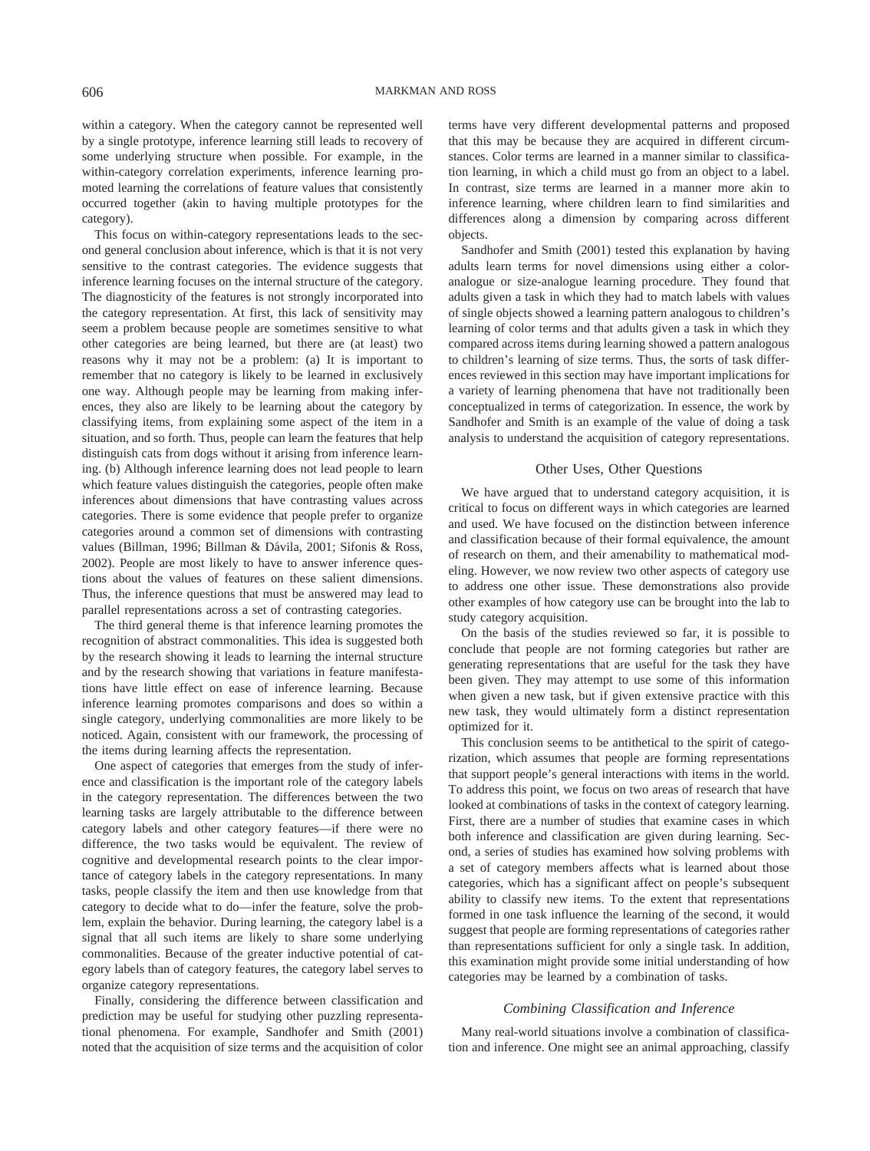within a category. When the category cannot be represented well by a single prototype, inference learning still leads to recovery of some underlying structure when possible. For example, in the within-category correlation experiments, inference learning promoted learning the correlations of feature values that consistently occurred together (akin to having multiple prototypes for the category).

This focus on within-category representations leads to the second general conclusion about inference, which is that it is not very sensitive to the contrast categories. The evidence suggests that inference learning focuses on the internal structure of the category. The diagnosticity of the features is not strongly incorporated into the category representation. At first, this lack of sensitivity may seem a problem because people are sometimes sensitive to what other categories are being learned, but there are (at least) two reasons why it may not be a problem: (a) It is important to remember that no category is likely to be learned in exclusively one way. Although people may be learning from making inferences, they also are likely to be learning about the category by classifying items, from explaining some aspect of the item in a situation, and so forth. Thus, people can learn the features that help distinguish cats from dogs without it arising from inference learning. (b) Although inference learning does not lead people to learn which feature values distinguish the categories, people often make inferences about dimensions that have contrasting values across categories. There is some evidence that people prefer to organize categories around a common set of dimensions with contrasting values (Billman, 1996; Billman & Dávila, 2001; Sifonis & Ross, 2002). People are most likely to have to answer inference questions about the values of features on these salient dimensions. Thus, the inference questions that must be answered may lead to parallel representations across a set of contrasting categories.

The third general theme is that inference learning promotes the recognition of abstract commonalities. This idea is suggested both by the research showing it leads to learning the internal structure and by the research showing that variations in feature manifestations have little effect on ease of inference learning. Because inference learning promotes comparisons and does so within a single category, underlying commonalities are more likely to be noticed. Again, consistent with our framework, the processing of the items during learning affects the representation.

One aspect of categories that emerges from the study of inference and classification is the important role of the category labels in the category representation. The differences between the two learning tasks are largely attributable to the difference between category labels and other category features—if there were no difference, the two tasks would be equivalent. The review of cognitive and developmental research points to the clear importance of category labels in the category representations. In many tasks, people classify the item and then use knowledge from that category to decide what to do—infer the feature, solve the problem, explain the behavior. During learning, the category label is a signal that all such items are likely to share some underlying commonalities. Because of the greater inductive potential of category labels than of category features, the category label serves to organize category representations.

Finally, considering the difference between classification and prediction may be useful for studying other puzzling representational phenomena. For example, Sandhofer and Smith (2001) noted that the acquisition of size terms and the acquisition of color terms have very different developmental patterns and proposed that this may be because they are acquired in different circumstances. Color terms are learned in a manner similar to classification learning, in which a child must go from an object to a label. In contrast, size terms are learned in a manner more akin to inference learning, where children learn to find similarities and differences along a dimension by comparing across different objects.

Sandhofer and Smith (2001) tested this explanation by having adults learn terms for novel dimensions using either a coloranalogue or size-analogue learning procedure. They found that adults given a task in which they had to match labels with values of single objects showed a learning pattern analogous to children's learning of color terms and that adults given a task in which they compared across items during learning showed a pattern analogous to children's learning of size terms. Thus, the sorts of task differences reviewed in this section may have important implications for a variety of learning phenomena that have not traditionally been conceptualized in terms of categorization. In essence, the work by Sandhofer and Smith is an example of the value of doing a task analysis to understand the acquisition of category representations.

#### Other Uses, Other Questions

We have argued that to understand category acquisition, it is critical to focus on different ways in which categories are learned and used. We have focused on the distinction between inference and classification because of their formal equivalence, the amount of research on them, and their amenability to mathematical modeling. However, we now review two other aspects of category use to address one other issue. These demonstrations also provide other examples of how category use can be brought into the lab to study category acquisition.

On the basis of the studies reviewed so far, it is possible to conclude that people are not forming categories but rather are generating representations that are useful for the task they have been given. They may attempt to use some of this information when given a new task, but if given extensive practice with this new task, they would ultimately form a distinct representation optimized for it.

This conclusion seems to be antithetical to the spirit of categorization, which assumes that people are forming representations that support people's general interactions with items in the world. To address this point, we focus on two areas of research that have looked at combinations of tasks in the context of category learning. First, there are a number of studies that examine cases in which both inference and classification are given during learning. Second, a series of studies has examined how solving problems with a set of category members affects what is learned about those categories, which has a significant affect on people's subsequent ability to classify new items. To the extent that representations formed in one task influence the learning of the second, it would suggest that people are forming representations of categories rather than representations sufficient for only a single task. In addition, this examination might provide some initial understanding of how categories may be learned by a combination of tasks.

#### *Combining Classification and Inference*

Many real-world situations involve a combination of classification and inference. One might see an animal approaching, classify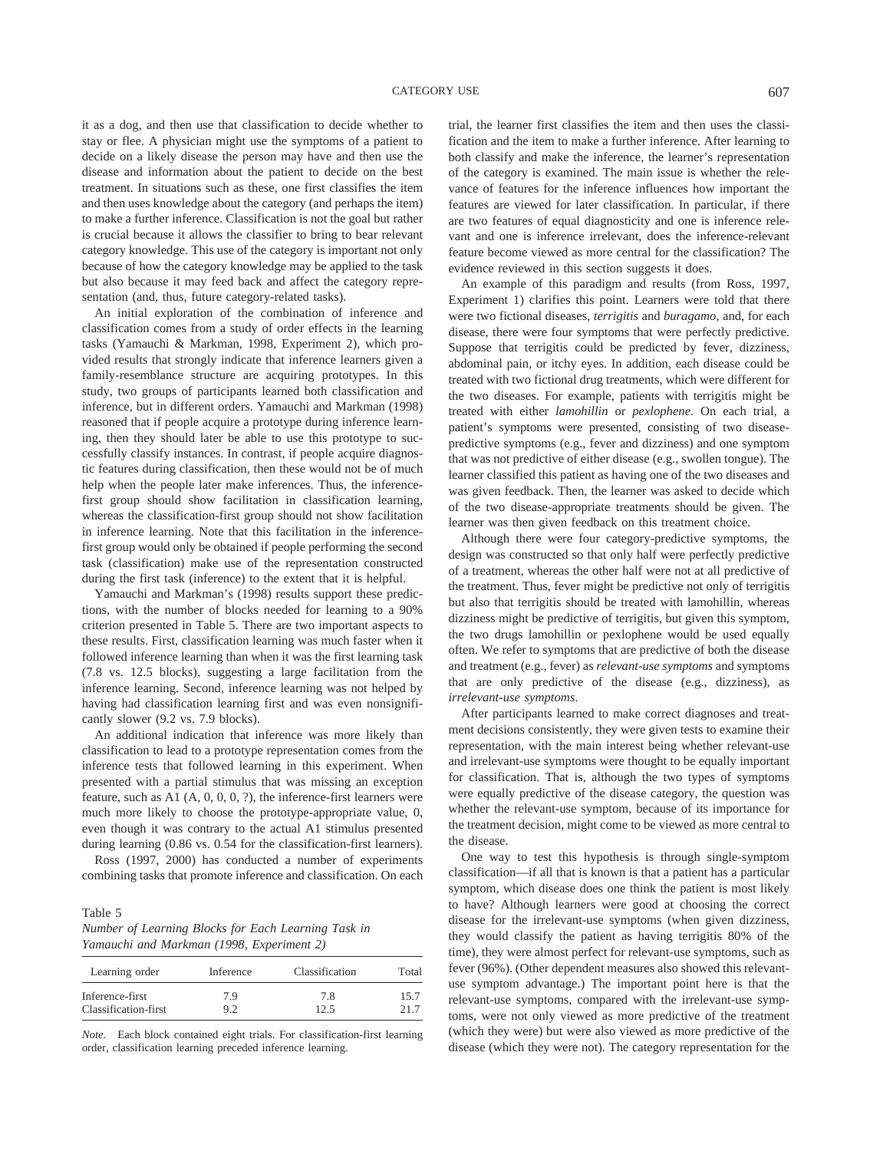it as a dog, and then use that classification to decide whether to stay or flee. A physician might use the symptoms of a patient to decide on a likely disease the person may have and then use the disease and information about the patient to decide on the best treatment. In situations such as these, one first classifies the item and then uses knowledge about the category (and perhaps the item) to make a further inference. Classification is not the goal but rather is crucial because it allows the classifier to bring to bear relevant category knowledge. This use of the category is important not only because of how the category knowledge may be applied to the task but also because it may feed back and affect the category representation (and, thus, future category-related tasks).

An initial exploration of the combination of inference and classification comes from a study of order effects in the learning tasks (Yamauchi & Markman, 1998, Experiment 2), which provided results that strongly indicate that inference learners given a family-resemblance structure are acquiring prototypes. In this study, two groups of participants learned both classification and inference, but in different orders. Yamauchi and Markman (1998) reasoned that if people acquire a prototype during inference learning, then they should later be able to use this prototype to successfully classify instances. In contrast, if people acquire diagnostic features during classification, then these would not be of much help when the people later make inferences. Thus, the inferencefirst group should show facilitation in classification learning, whereas the classification-first group should not show facilitation in inference learning. Note that this facilitation in the inferencefirst group would only be obtained if people performing the second task (classification) make use of the representation constructed during the first task (inference) to the extent that it is helpful.

Yamauchi and Markman's (1998) results support these predictions, with the number of blocks needed for learning to a 90% criterion presented in Table 5. There are two important aspects to these results. First, classification learning was much faster when it followed inference learning than when it was the first learning task (7.8 vs. 12.5 blocks), suggesting a large facilitation from the inference learning. Second, inference learning was not helped by having had classification learning first and was even nonsignificantly slower (9.2 vs. 7.9 blocks).

An additional indication that inference was more likely than classification to lead to a prototype representation comes from the inference tests that followed learning in this experiment. When presented with a partial stimulus that was missing an exception feature, such as A1 (A, 0, 0, 0, ?), the inference-first learners were much more likely to choose the prototype-appropriate value, 0, even though it was contrary to the actual A1 stimulus presented during learning (0.86 vs. 0.54 for the classification-first learners).

Ross (1997, 2000) has conducted a number of experiments combining tasks that promote inference and classification. On each

#### Table 5

*Number of Learning Blocks for Each Learning Task in Yamauchi and Markman (1998, Experiment 2)*

| Learning order                          | Inference | Classification | Total        |
|-----------------------------------------|-----------|----------------|--------------|
| Inference-first<br>Classification-first | 79<br>92  | 7.8<br>12.5    | 15.7<br>21.7 |
|                                         |           |                |              |

*Note.* Each block contained eight trials. For classification-first learning order, classification learning preceded inference learning.

trial, the learner first classifies the item and then uses the classification and the item to make a further inference. After learning to both classify and make the inference, the learner's representation of the category is examined. The main issue is whether the relevance of features for the inference influences how important the features are viewed for later classification. In particular, if there are two features of equal diagnosticity and one is inference relevant and one is inference irrelevant, does the inference-relevant feature become viewed as more central for the classification? The evidence reviewed in this section suggests it does.

An example of this paradigm and results (from Ross, 1997, Experiment 1) clarifies this point. Learners were told that there were two fictional diseases, *terrigitis* and *buragamo*, and, for each disease, there were four symptoms that were perfectly predictive. Suppose that terrigitis could be predicted by fever, dizziness, abdominal pain, or itchy eyes. In addition, each disease could be treated with two fictional drug treatments, which were different for the two diseases. For example, patients with terrigitis might be treated with either *lamohillin* or *pexlophene.* On each trial, a patient's symptoms were presented, consisting of two diseasepredictive symptoms (e.g., fever and dizziness) and one symptom that was not predictive of either disease (e.g., swollen tongue). The learner classified this patient as having one of the two diseases and was given feedback. Then, the learner was asked to decide which of the two disease-appropriate treatments should be given. The learner was then given feedback on this treatment choice.

Although there were four category-predictive symptoms, the design was constructed so that only half were perfectly predictive of a treatment, whereas the other half were not at all predictive of the treatment. Thus, fever might be predictive not only of terrigitis but also that terrigitis should be treated with lamohillin, whereas dizziness might be predictive of terrigitis, but given this symptom, the two drugs lamohillin or pexlophene would be used equally often. We refer to symptoms that are predictive of both the disease and treatment (e.g., fever) as *relevant-use symptoms* and symptoms that are only predictive of the disease (e.g., dizziness), as *irrelevant-use symptoms*.

After participants learned to make correct diagnoses and treatment decisions consistently, they were given tests to examine their representation, with the main interest being whether relevant-use and irrelevant-use symptoms were thought to be equally important for classification. That is, although the two types of symptoms were equally predictive of the disease category, the question was whether the relevant-use symptom, because of its importance for the treatment decision, might come to be viewed as more central to the disease.

One way to test this hypothesis is through single-symptom classification—if all that is known is that a patient has a particular symptom, which disease does one think the patient is most likely to have? Although learners were good at choosing the correct disease for the irrelevant-use symptoms (when given dizziness, they would classify the patient as having terrigitis 80% of the time), they were almost perfect for relevant-use symptoms, such as fever (96%). (Other dependent measures also showed this relevantuse symptom advantage.) The important point here is that the relevant-use symptoms, compared with the irrelevant-use symptoms, were not only viewed as more predictive of the treatment (which they were) but were also viewed as more predictive of the disease (which they were not). The category representation for the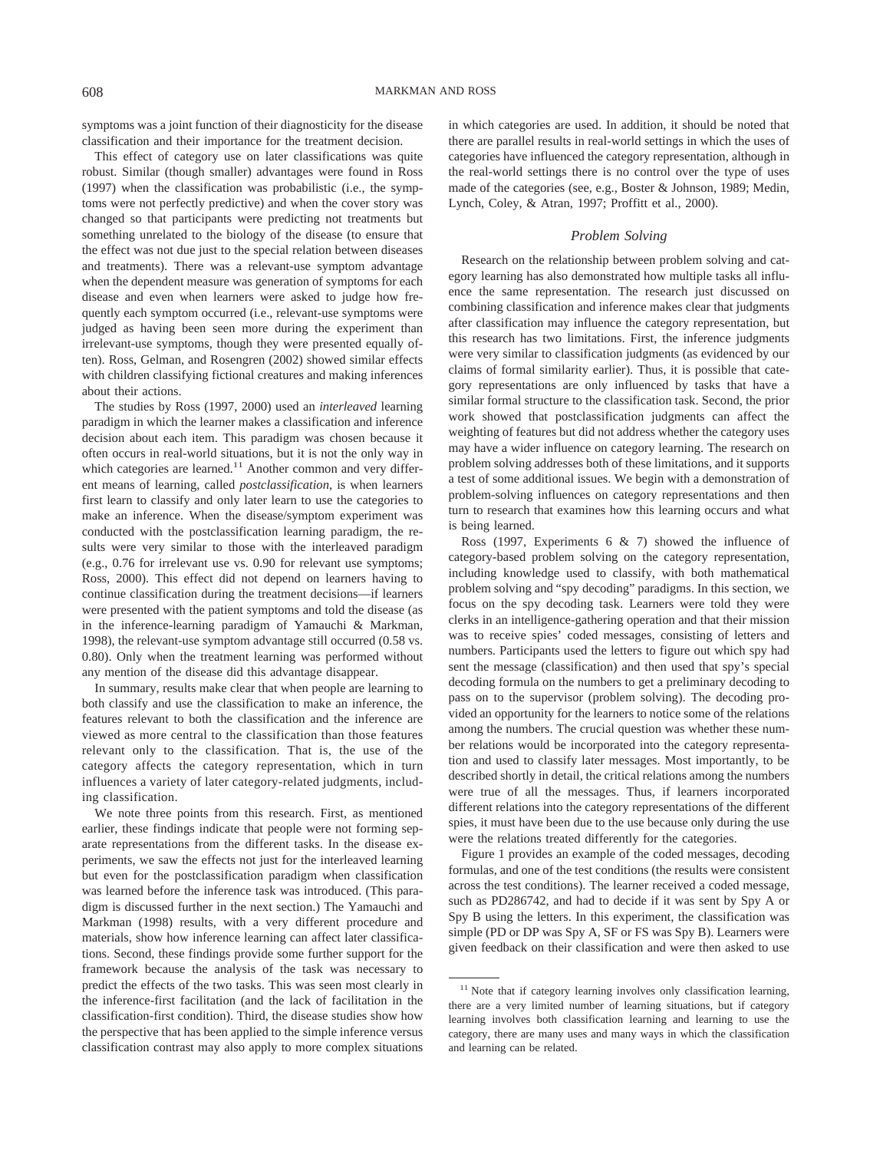symptoms was a joint function of their diagnosticity for the disease classification and their importance for the treatment decision.

This effect of category use on later classifications was quite robust. Similar (though smaller) advantages were found in Ross (1997) when the classification was probabilistic (i.e., the symptoms were not perfectly predictive) and when the cover story was changed so that participants were predicting not treatments but something unrelated to the biology of the disease (to ensure that the effect was not due just to the special relation between diseases and treatments). There was a relevant-use symptom advantage when the dependent measure was generation of symptoms for each disease and even when learners were asked to judge how frequently each symptom occurred (i.e., relevant-use symptoms were judged as having been seen more during the experiment than irrelevant-use symptoms, though they were presented equally often). Ross, Gelman, and Rosengren (2002) showed similar effects with children classifying fictional creatures and making inferences about their actions.

The studies by Ross (1997, 2000) used an *interleaved* learning paradigm in which the learner makes a classification and inference decision about each item. This paradigm was chosen because it often occurs in real-world situations, but it is not the only way in which categories are learned.<sup>11</sup> Another common and very different means of learning, called *postclassification*, is when learners first learn to classify and only later learn to use the categories to make an inference. When the disease/symptom experiment was conducted with the postclassification learning paradigm, the results were very similar to those with the interleaved paradigm (e.g., 0.76 for irrelevant use vs. 0.90 for relevant use symptoms; Ross, 2000). This effect did not depend on learners having to continue classification during the treatment decisions—if learners were presented with the patient symptoms and told the disease (as in the inference-learning paradigm of Yamauchi & Markman, 1998), the relevant-use symptom advantage still occurred (0.58 vs. 0.80). Only when the treatment learning was performed without any mention of the disease did this advantage disappear.

In summary, results make clear that when people are learning to both classify and use the classification to make an inference, the features relevant to both the classification and the inference are viewed as more central to the classification than those features relevant only to the classification. That is, the use of the category affects the category representation, which in turn influences a variety of later category-related judgments, including classification.

We note three points from this research. First, as mentioned earlier, these findings indicate that people were not forming separate representations from the different tasks. In the disease experiments, we saw the effects not just for the interleaved learning but even for the postclassification paradigm when classification was learned before the inference task was introduced. (This paradigm is discussed further in the next section.) The Yamauchi and Markman (1998) results, with a very different procedure and materials, show how inference learning can affect later classifications. Second, these findings provide some further support for the framework because the analysis of the task was necessary to predict the effects of the two tasks. This was seen most clearly in the inference-first facilitation (and the lack of facilitation in the classification-first condition). Third, the disease studies show how the perspective that has been applied to the simple inference versus classification contrast may also apply to more complex situations in which categories are used. In addition, it should be noted that there are parallel results in real-world settings in which the uses of categories have influenced the category representation, although in the real-world settings there is no control over the type of uses made of the categories (see, e.g., Boster & Johnson, 1989; Medin, Lynch, Coley, & Atran, 1997; Proffitt et al., 2000).

#### *Problem Solving*

Research on the relationship between problem solving and category learning has also demonstrated how multiple tasks all influence the same representation. The research just discussed on combining classification and inference makes clear that judgments after classification may influence the category representation, but this research has two limitations. First, the inference judgments were very similar to classification judgments (as evidenced by our claims of formal similarity earlier). Thus, it is possible that category representations are only influenced by tasks that have a similar formal structure to the classification task. Second, the prior work showed that postclassification judgments can affect the weighting of features but did not address whether the category uses may have a wider influence on category learning. The research on problem solving addresses both of these limitations, and it supports a test of some additional issues. We begin with a demonstration of problem-solving influences on category representations and then turn to research that examines how this learning occurs and what is being learned.

Ross (1997, Experiments 6 & 7) showed the influence of category-based problem solving on the category representation, including knowledge used to classify, with both mathematical problem solving and "spy decoding" paradigms. In this section, we focus on the spy decoding task. Learners were told they were clerks in an intelligence-gathering operation and that their mission was to receive spies' coded messages, consisting of letters and numbers. Participants used the letters to figure out which spy had sent the message (classification) and then used that spy's special decoding formula on the numbers to get a preliminary decoding to pass on to the supervisor (problem solving). The decoding provided an opportunity for the learners to notice some of the relations among the numbers. The crucial question was whether these number relations would be incorporated into the category representation and used to classify later messages. Most importantly, to be described shortly in detail, the critical relations among the numbers were true of all the messages. Thus, if learners incorporated different relations into the category representations of the different spies, it must have been due to the use because only during the use were the relations treated differently for the categories.

Figure 1 provides an example of the coded messages, decoding formulas, and one of the test conditions (the results were consistent across the test conditions). The learner received a coded message, such as PD286742, and had to decide if it was sent by Spy A or Spy B using the letters. In this experiment, the classification was simple (PD or DP was Spy A, SF or FS was Spy B). Learners were given feedback on their classification and were then asked to use

<sup>&</sup>lt;sup>11</sup> Note that if category learning involves only classification learning, there are a very limited number of learning situations, but if category learning involves both classification learning and learning to use the category, there are many uses and many ways in which the classification and learning can be related.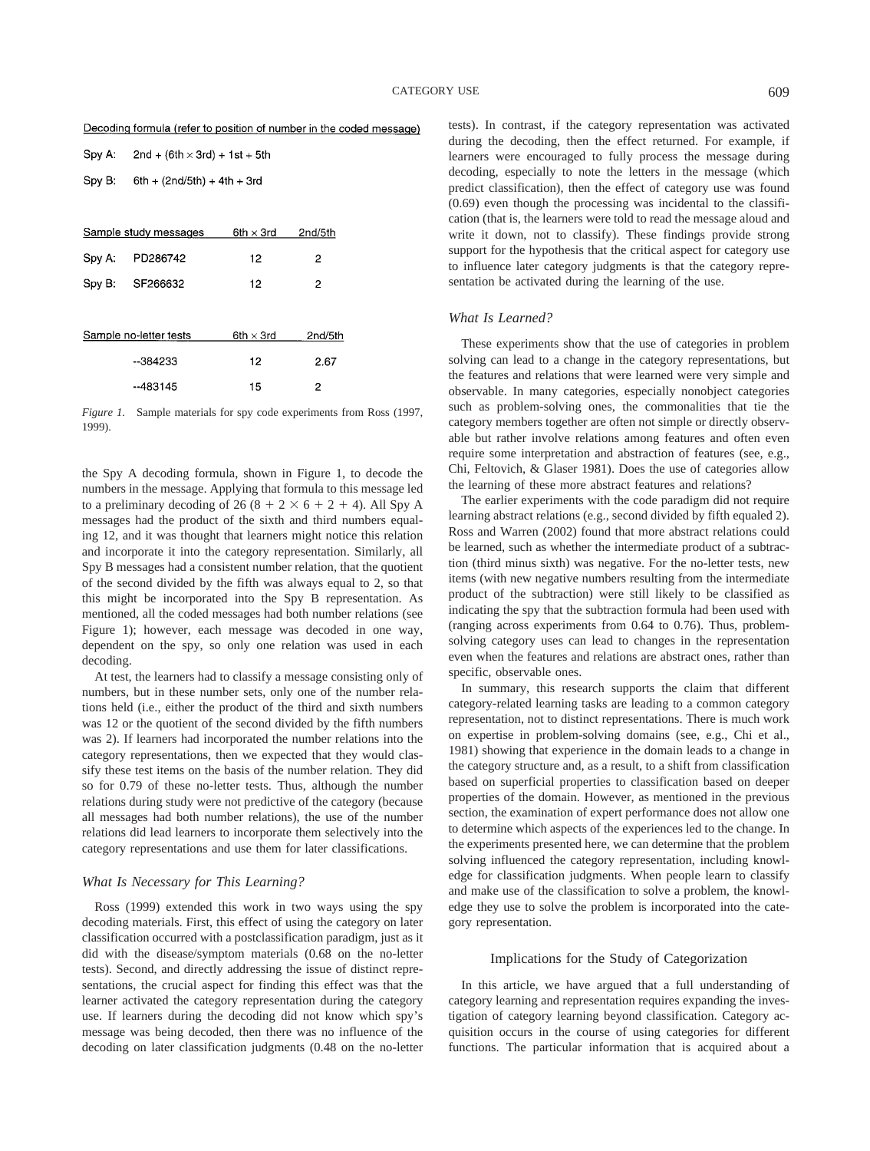| Spy A: | $2nd + (6th \times 3rd) + 1st + 5th$ |
|--------|--------------------------------------|
| Spy B: | 6th + $(2nd/5th) + 4th + 3rd$        |

|        | Sample study messages  | 6th $\times$ 3rd | 2nd/5th |
|--------|------------------------|------------------|---------|
| Spy A: | PD286742               | 12               | 2       |
| Spy B: | SF266632               | 12               | 2       |
|        |                        |                  |         |
|        | Sample no-letter tests | 6th $\times$ 3rd | 2nd/5th |
|        | --384233               | 12               | 2.67    |
|        | --483145               | 15               | 2       |

*Figure 1.* Sample materials for spy code experiments from Ross (1997, 1999).

the Spy A decoding formula, shown in Figure 1, to decode the numbers in the message. Applying that formula to this message led to a preliminary decoding of 26  $(8 + 2 \times 6 + 2 + 4)$ . All Spy A messages had the product of the sixth and third numbers equaling 12, and it was thought that learners might notice this relation and incorporate it into the category representation. Similarly, all Spy B messages had a consistent number relation, that the quotient of the second divided by the fifth was always equal to 2, so that this might be incorporated into the Spy B representation. As mentioned, all the coded messages had both number relations (see Figure 1); however, each message was decoded in one way, dependent on the spy, so only one relation was used in each decoding.

At test, the learners had to classify a message consisting only of numbers, but in these number sets, only one of the number relations held (i.e., either the product of the third and sixth numbers was 12 or the quotient of the second divided by the fifth numbers was 2). If learners had incorporated the number relations into the category representations, then we expected that they would classify these test items on the basis of the number relation. They did so for 0.79 of these no-letter tests. Thus, although the number relations during study were not predictive of the category (because all messages had both number relations), the use of the number relations did lead learners to incorporate them selectively into the category representations and use them for later classifications.

#### *What Is Necessary for This Learning?*

Ross (1999) extended this work in two ways using the spy decoding materials. First, this effect of using the category on later classification occurred with a postclassification paradigm, just as it did with the disease/symptom materials (0.68 on the no-letter tests). Second, and directly addressing the issue of distinct representations, the crucial aspect for finding this effect was that the learner activated the category representation during the category use. If learners during the decoding did not know which spy's message was being decoded, then there was no influence of the decoding on later classification judgments (0.48 on the no-letter tests). In contrast, if the category representation was activated during the decoding, then the effect returned. For example, if learners were encouraged to fully process the message during decoding, especially to note the letters in the message (which predict classification), then the effect of category use was found (0.69) even though the processing was incidental to the classification (that is, the learners were told to read the message aloud and write it down, not to classify). These findings provide strong support for the hypothesis that the critical aspect for category use to influence later category judgments is that the category representation be activated during the learning of the use.

#### *What Is Learned?*

These experiments show that the use of categories in problem solving can lead to a change in the category representations, but the features and relations that were learned were very simple and observable. In many categories, especially nonobject categories such as problem-solving ones, the commonalities that tie the category members together are often not simple or directly observable but rather involve relations among features and often even require some interpretation and abstraction of features (see, e.g., Chi, Feltovich, & Glaser 1981). Does the use of categories allow the learning of these more abstract features and relations?

The earlier experiments with the code paradigm did not require learning abstract relations (e.g., second divided by fifth equaled 2). Ross and Warren (2002) found that more abstract relations could be learned, such as whether the intermediate product of a subtraction (third minus sixth) was negative. For the no-letter tests, new items (with new negative numbers resulting from the intermediate product of the subtraction) were still likely to be classified as indicating the spy that the subtraction formula had been used with (ranging across experiments from 0.64 to 0.76). Thus, problemsolving category uses can lead to changes in the representation even when the features and relations are abstract ones, rather than specific, observable ones.

In summary, this research supports the claim that different category-related learning tasks are leading to a common category representation, not to distinct representations. There is much work on expertise in problem-solving domains (see, e.g., Chi et al., 1981) showing that experience in the domain leads to a change in the category structure and, as a result, to a shift from classification based on superficial properties to classification based on deeper properties of the domain. However, as mentioned in the previous section, the examination of expert performance does not allow one to determine which aspects of the experiences led to the change. In the experiments presented here, we can determine that the problem solving influenced the category representation, including knowledge for classification judgments. When people learn to classify and make use of the classification to solve a problem, the knowledge they use to solve the problem is incorporated into the category representation.

#### Implications for the Study of Categorization

In this article, we have argued that a full understanding of category learning and representation requires expanding the investigation of category learning beyond classification. Category acquisition occurs in the course of using categories for different functions. The particular information that is acquired about a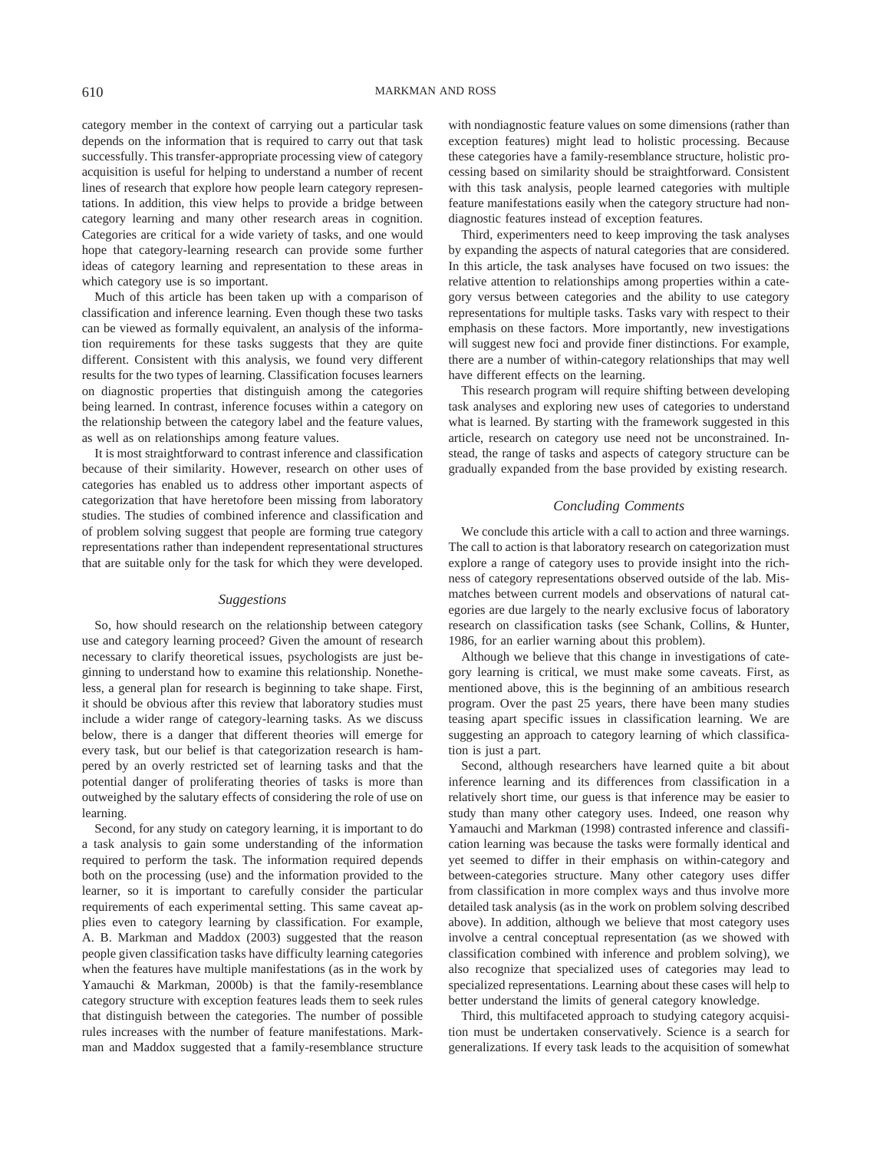category member in the context of carrying out a particular task depends on the information that is required to carry out that task successfully. This transfer-appropriate processing view of category acquisition is useful for helping to understand a number of recent lines of research that explore how people learn category representations. In addition, this view helps to provide a bridge between category learning and many other research areas in cognition. Categories are critical for a wide variety of tasks, and one would hope that category-learning research can provide some further ideas of category learning and representation to these areas in which category use is so important.

Much of this article has been taken up with a comparison of classification and inference learning. Even though these two tasks can be viewed as formally equivalent, an analysis of the information requirements for these tasks suggests that they are quite different. Consistent with this analysis, we found very different results for the two types of learning. Classification focuses learners on diagnostic properties that distinguish among the categories being learned. In contrast, inference focuses within a category on the relationship between the category label and the feature values, as well as on relationships among feature values.

It is most straightforward to contrast inference and classification because of their similarity. However, research on other uses of categories has enabled us to address other important aspects of categorization that have heretofore been missing from laboratory studies. The studies of combined inference and classification and of problem solving suggest that people are forming true category representations rather than independent representational structures that are suitable only for the task for which they were developed.

#### *Suggestions*

So, how should research on the relationship between category use and category learning proceed? Given the amount of research necessary to clarify theoretical issues, psychologists are just beginning to understand how to examine this relationship. Nonetheless, a general plan for research is beginning to take shape. First, it should be obvious after this review that laboratory studies must include a wider range of category-learning tasks. As we discuss below, there is a danger that different theories will emerge for every task, but our belief is that categorization research is hampered by an overly restricted set of learning tasks and that the potential danger of proliferating theories of tasks is more than outweighed by the salutary effects of considering the role of use on learning.

Second, for any study on category learning, it is important to do a task analysis to gain some understanding of the information required to perform the task. The information required depends both on the processing (use) and the information provided to the learner, so it is important to carefully consider the particular requirements of each experimental setting. This same caveat applies even to category learning by classification. For example, A. B. Markman and Maddox (2003) suggested that the reason people given classification tasks have difficulty learning categories when the features have multiple manifestations (as in the work by Yamauchi & Markman, 2000b) is that the family-resemblance category structure with exception features leads them to seek rules that distinguish between the categories. The number of possible rules increases with the number of feature manifestations. Markman and Maddox suggested that a family-resemblance structure with nondiagnostic feature values on some dimensions (rather than exception features) might lead to holistic processing. Because these categories have a family-resemblance structure, holistic processing based on similarity should be straightforward. Consistent with this task analysis, people learned categories with multiple feature manifestations easily when the category structure had nondiagnostic features instead of exception features.

Third, experimenters need to keep improving the task analyses by expanding the aspects of natural categories that are considered. In this article, the task analyses have focused on two issues: the relative attention to relationships among properties within a category versus between categories and the ability to use category representations for multiple tasks. Tasks vary with respect to their emphasis on these factors. More importantly, new investigations will suggest new foci and provide finer distinctions. For example, there are a number of within-category relationships that may well have different effects on the learning.

This research program will require shifting between developing task analyses and exploring new uses of categories to understand what is learned. By starting with the framework suggested in this article, research on category use need not be unconstrained. Instead, the range of tasks and aspects of category structure can be gradually expanded from the base provided by existing research.

## *Concluding Comments*

We conclude this article with a call to action and three warnings. The call to action is that laboratory research on categorization must explore a range of category uses to provide insight into the richness of category representations observed outside of the lab. Mismatches between current models and observations of natural categories are due largely to the nearly exclusive focus of laboratory research on classification tasks (see Schank, Collins, & Hunter, 1986, for an earlier warning about this problem).

Although we believe that this change in investigations of category learning is critical, we must make some caveats. First, as mentioned above, this is the beginning of an ambitious research program. Over the past 25 years, there have been many studies teasing apart specific issues in classification learning. We are suggesting an approach to category learning of which classification is just a part.

Second, although researchers have learned quite a bit about inference learning and its differences from classification in a relatively short time, our guess is that inference may be easier to study than many other category uses. Indeed, one reason why Yamauchi and Markman (1998) contrasted inference and classification learning was because the tasks were formally identical and yet seemed to differ in their emphasis on within-category and between-categories structure. Many other category uses differ from classification in more complex ways and thus involve more detailed task analysis (as in the work on problem solving described above). In addition, although we believe that most category uses involve a central conceptual representation (as we showed with classification combined with inference and problem solving), we also recognize that specialized uses of categories may lead to specialized representations. Learning about these cases will help to better understand the limits of general category knowledge.

Third, this multifaceted approach to studying category acquisition must be undertaken conservatively. Science is a search for generalizations. If every task leads to the acquisition of somewhat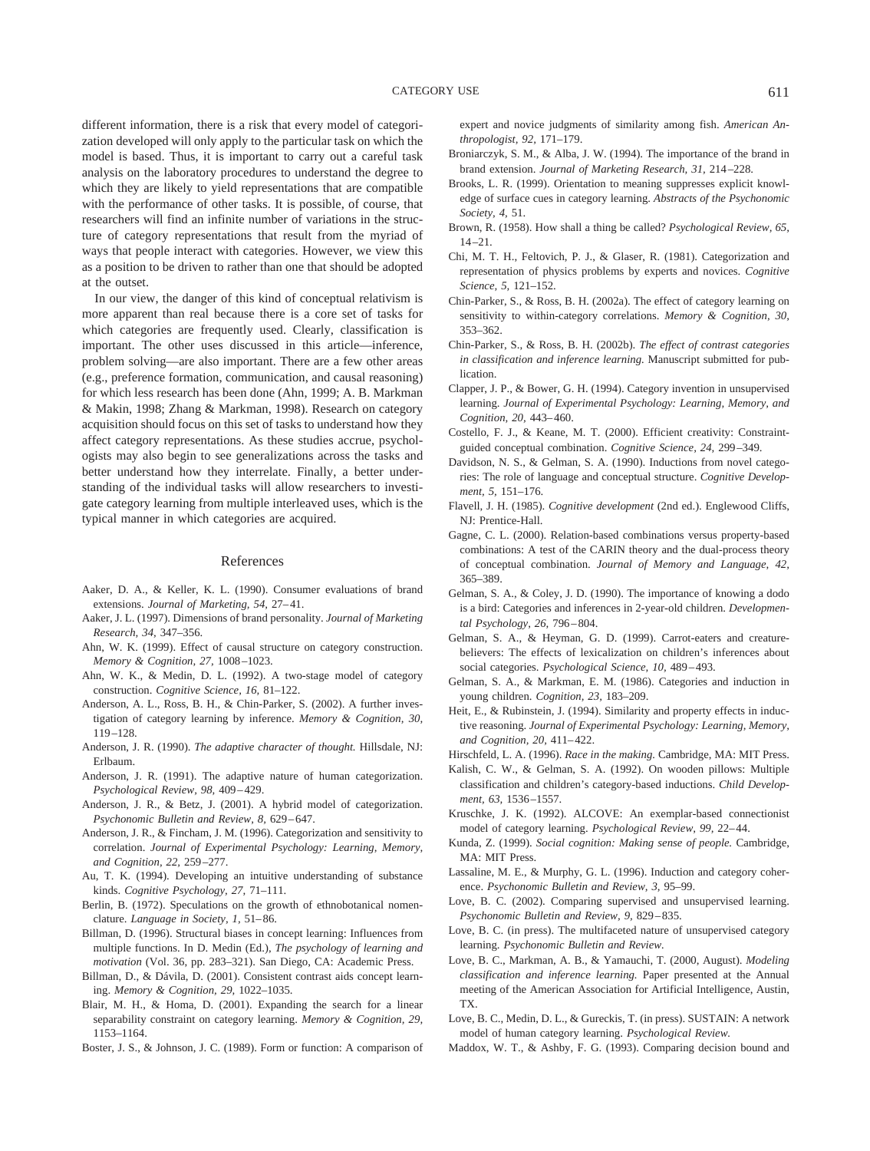different information, there is a risk that every model of categorization developed will only apply to the particular task on which the model is based. Thus, it is important to carry out a careful task analysis on the laboratory procedures to understand the degree to which they are likely to yield representations that are compatible with the performance of other tasks. It is possible, of course, that researchers will find an infinite number of variations in the structure of category representations that result from the myriad of ways that people interact with categories. However, we view this as a position to be driven to rather than one that should be adopted at the outset.

In our view, the danger of this kind of conceptual relativism is more apparent than real because there is a core set of tasks for which categories are frequently used. Clearly, classification is important. The other uses discussed in this article—inference, problem solving—are also important. There are a few other areas (e.g., preference formation, communication, and causal reasoning) for which less research has been done (Ahn, 1999; A. B. Markman & Makin, 1998; Zhang & Markman, 1998). Research on category acquisition should focus on this set of tasks to understand how they affect category representations. As these studies accrue, psychologists may also begin to see generalizations across the tasks and better understand how they interrelate. Finally, a better understanding of the individual tasks will allow researchers to investigate category learning from multiple interleaved uses, which is the typical manner in which categories are acquired.

#### References

- Aaker, D. A., & Keller, K. L. (1990). Consumer evaluations of brand extensions. *Journal of Marketing, 54,* 27–41.
- Aaker, J. L. (1997). Dimensions of brand personality. *Journal of Marketing Research, 34,* 347–356.
- Ahn, W. K. (1999). Effect of causal structure on category construction. *Memory & Cognition, 27,* 1008–1023.
- Ahn, W. K., & Medin, D. L. (1992). A two-stage model of category construction. *Cognitive Science, 16,* 81–122.
- Anderson, A. L., Ross, B. H., & Chin-Parker, S. (2002). A further investigation of category learning by inference. *Memory & Cognition, 30,* 119–128.
- Anderson, J. R. (1990). *The adaptive character of thought.* Hillsdale, NJ: Erlbaum.
- Anderson, J. R. (1991). The adaptive nature of human categorization. *Psychological Review, 98,* 409–429.
- Anderson, J. R., & Betz, J. (2001). A hybrid model of categorization. *Psychonomic Bulletin and Review, 8,* 629–647.
- Anderson, J. R., & Fincham, J. M. (1996). Categorization and sensitivity to correlation. *Journal of Experimental Psychology: Learning, Memory, and Cognition, 22,* 259–277.
- Au, T. K. (1994). Developing an intuitive understanding of substance kinds. *Cognitive Psychology, 27,* 71–111.
- Berlin, B. (1972). Speculations on the growth of ethnobotanical nomenclature. *Language in Society, 1,* 51–86.
- Billman, D. (1996). Structural biases in concept learning: Influences from multiple functions. In D. Medin (Ed.), *The psychology of learning and motivation* (Vol. 36, pp. 283–321). San Diego, CA: Academic Press.
- Billman, D., & Dávila, D. (2001). Consistent contrast aids concept learning. *Memory & Cognition, 29,* 1022–1035.
- Blair, M. H., & Homa, D. (2001). Expanding the search for a linear separability constraint on category learning. *Memory & Cognition, 29,* 1153–1164.

Boster, J. S., & Johnson, J. C. (1989). Form or function: A comparison of

expert and novice judgments of similarity among fish. *American Anthropologist, 92,* 171–179.

- Broniarczyk, S. M., & Alba, J. W. (1994). The importance of the brand in brand extension. *Journal of Marketing Research, 31,* 214–228.
- Brooks, L. R. (1999). Orientation to meaning suppresses explicit knowledge of surface cues in category learning. *Abstracts of the Psychonomic Society, 4,* 51.
- Brown, R. (1958). How shall a thing be called? *Psychological Review, 65,* 14–21.
- Chi, M. T. H., Feltovich, P. J., & Glaser, R. (1981). Categorization and representation of physics problems by experts and novices. *Cognitive Science, 5,* 121–152.
- Chin-Parker, S., & Ross, B. H. (2002a). The effect of category learning on sensitivity to within-category correlations. *Memory & Cognition, 30,* 353–362.
- Chin-Parker, S., & Ross, B. H. (2002b). *The effect of contrast categories in classification and inference learning.* Manuscript submitted for publication.
- Clapper, J. P., & Bower, G. H. (1994). Category invention in unsupervised learning. *Journal of Experimental Psychology: Learning, Memory, and Cognition, 20,* 443–460.
- Costello, F. J., & Keane, M. T. (2000). Efficient creativity: Constraintguided conceptual combination. *Cognitive Science, 24,* 299–349.
- Davidson, N. S., & Gelman, S. A. (1990). Inductions from novel categories: The role of language and conceptual structure. *Cognitive Development, 5,* 151–176.
- Flavell, J. H. (1985). *Cognitive development* (2nd ed.). Englewood Cliffs, NJ: Prentice-Hall.
- Gagne, C. L. (2000). Relation-based combinations versus property-based combinations: A test of the CARIN theory and the dual-process theory of conceptual combination. *Journal of Memory and Language, 42,* 365–389.
- Gelman, S. A., & Coley, J. D. (1990). The importance of knowing a dodo is a bird: Categories and inferences in 2-year-old children. *Developmental Psychology, 26,* 796–804.
- Gelman, S. A., & Heyman, G. D. (1999). Carrot-eaters and creaturebelievers: The effects of lexicalization on children's inferences about social categories. *Psychological Science, 10,* 489–493.
- Gelman, S. A., & Markman, E. M. (1986). Categories and induction in young children. *Cognition, 23,* 183–209.
- Heit, E., & Rubinstein, J. (1994). Similarity and property effects in inductive reasoning. *Journal of Experimental Psychology: Learning, Memory, and Cognition, 20,* 411–422.
- Hirschfeld, L. A. (1996). *Race in the making.* Cambridge, MA: MIT Press.
- Kalish, C. W., & Gelman, S. A. (1992). On wooden pillows: Multiple classification and children's category-based inductions. *Child Development, 63,* 1536–1557.
- Kruschke, J. K. (1992). ALCOVE: An exemplar-based connectionist model of category learning. *Psychological Review, 99,* 22–44.
- Kunda, Z. (1999). *Social cognition: Making sense of people.* Cambridge, MA: MIT Press.
- Lassaline, M. E., & Murphy, G. L. (1996). Induction and category coherence. *Psychonomic Bulletin and Review, 3,* 95–99.
- Love, B. C. (2002). Comparing supervised and unsupervised learning. *Psychonomic Bulletin and Review, 9,* 829–835.
- Love, B. C. (in press). The multifaceted nature of unsupervised category learning. *Psychonomic Bulletin and Review.*
- Love, B. C., Markman, A. B., & Yamauchi, T. (2000, August). *Modeling classification and inference learning.* Paper presented at the Annual meeting of the American Association for Artificial Intelligence, Austin, TX.
- Love, B. C., Medin, D. L., & Gureckis, T. (in press). SUSTAIN: A network model of human category learning. *Psychological Review.*
- Maddox, W. T., & Ashby, F. G. (1993). Comparing decision bound and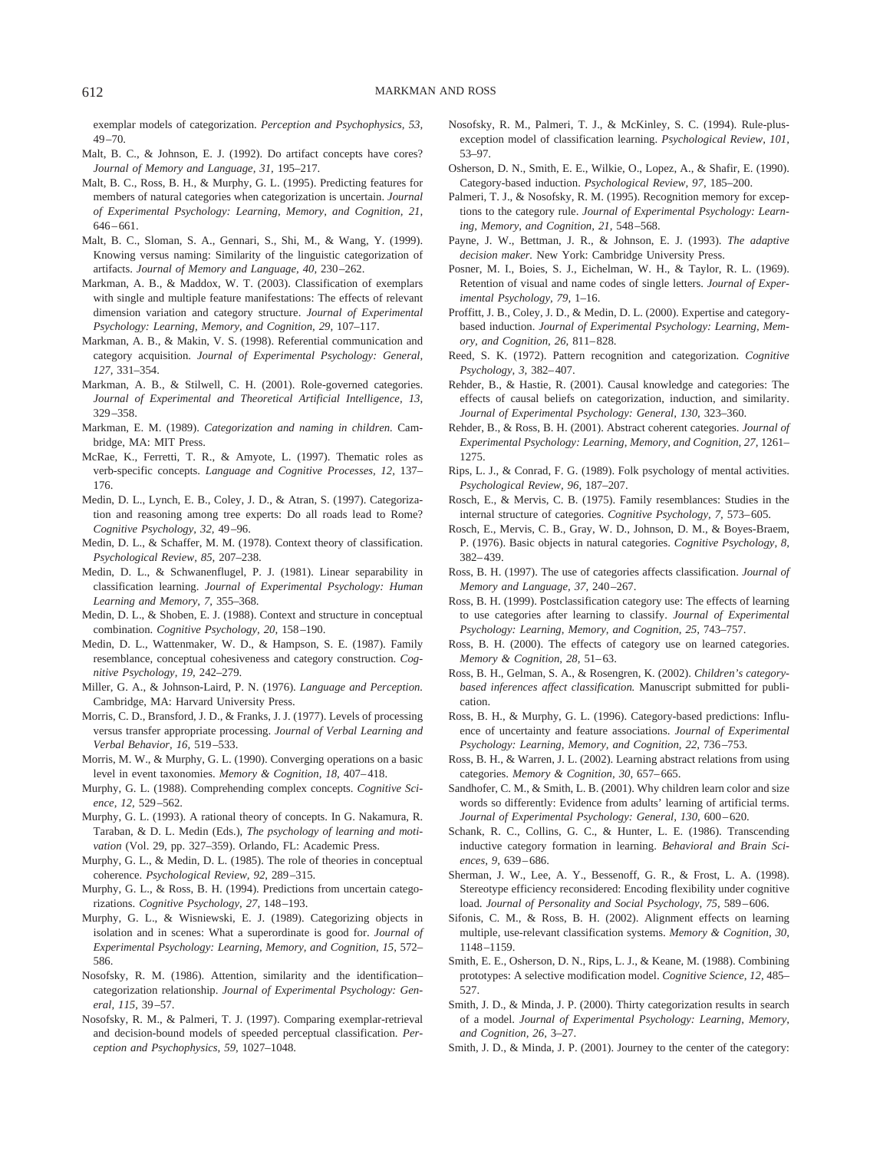exemplar models of categorization. *Perception and Psychophysics, 53,* 49–70.

- Malt, B. C., & Johnson, E. J. (1992). Do artifact concepts have cores? *Journal of Memory and Language, 31,* 195–217.
- Malt, B. C., Ross, B. H., & Murphy, G. L. (1995). Predicting features for members of natural categories when categorization is uncertain. *Journal of Experimental Psychology: Learning, Memory, and Cognition, 21,* 646–661.
- Malt, B. C., Sloman, S. A., Gennari, S., Shi, M., & Wang, Y. (1999). Knowing versus naming: Similarity of the linguistic categorization of artifacts. *Journal of Memory and Language, 40,* 230–262.
- Markman, A. B., & Maddox, W. T. (2003). Classification of exemplars with single and multiple feature manifestations: The effects of relevant dimension variation and category structure. *Journal of Experimental Psychology: Learning, Memory, and Cognition, 29,* 107–117.
- Markman, A. B., & Makin, V. S. (1998). Referential communication and category acquisition. *Journal of Experimental Psychology: General, 127,* 331–354.
- Markman, A. B., & Stilwell, C. H. (2001). Role-governed categories. *Journal of Experimental and Theoretical Artificial Intelligence, 13,* 329–358.
- Markman, E. M. (1989). *Categorization and naming in children.* Cambridge, MA: MIT Press.
- McRae, K., Ferretti, T. R., & Amyote, L. (1997). Thematic roles as verb-specific concepts. *Language and Cognitive Processes, 12,* 137– 176.
- Medin, D. L., Lynch, E. B., Coley, J. D., & Atran, S. (1997). Categorization and reasoning among tree experts: Do all roads lead to Rome? *Cognitive Psychology, 32,* 49–96.
- Medin, D. L., & Schaffer, M. M. (1978). Context theory of classification. *Psychological Review, 85,* 207–238.
- Medin, D. L., & Schwanenflugel, P. J. (1981). Linear separability in classification learning. *Journal of Experimental Psychology: Human Learning and Memory, 7,* 355–368.
- Medin, D. L., & Shoben, E. J. (1988). Context and structure in conceptual combination. *Cognitive Psychology, 20,* 158–190.
- Medin, D. L., Wattenmaker, W. D., & Hampson, S. E. (1987). Family resemblance, conceptual cohesiveness and category construction. *Cognitive Psychology, 19,* 242–279.
- Miller, G. A., & Johnson-Laird, P. N. (1976). *Language and Perception.* Cambridge, MA: Harvard University Press.
- Morris, C. D., Bransford, J. D., & Franks, J. J. (1977). Levels of processing versus transfer appropriate processing. *Journal of Verbal Learning and Verbal Behavior, 16,* 519–533.
- Morris, M. W., & Murphy, G. L. (1990). Converging operations on a basic level in event taxonomies. *Memory & Cognition, 18,* 407–418.
- Murphy, G. L. (1988). Comprehending complex concepts. *Cognitive Science, 12,* 529–562.
- Murphy, G. L. (1993). A rational theory of concepts. In G. Nakamura, R. Taraban, & D. L. Medin (Eds.), *The psychology of learning and motivation* (Vol. 29, pp. 327–359). Orlando, FL: Academic Press.
- Murphy, G. L., & Medin, D. L. (1985). The role of theories in conceptual coherence. *Psychological Review, 92,* 289–315.
- Murphy, G. L., & Ross, B. H. (1994). Predictions from uncertain categorizations. *Cognitive Psychology, 27,* 148–193.
- Murphy, G. L., & Wisniewski, E. J. (1989). Categorizing objects in isolation and in scenes: What a superordinate is good for. *Journal of Experimental Psychology: Learning, Memory, and Cognition, 15,* 572– 586.
- Nosofsky, R. M. (1986). Attention, similarity and the identification– categorization relationship. *Journal of Experimental Psychology: General, 115,* 39–57.
- Nosofsky, R. M., & Palmeri, T. J. (1997). Comparing exemplar-retrieval and decision-bound models of speeded perceptual classification. *Perception and Psychophysics, 59,* 1027–1048.
- Nosofsky, R. M., Palmeri, T. J., & McKinley, S. C. (1994). Rule-plusexception model of classification learning. *Psychological Review, 101,* 53–97.
- Osherson, D. N., Smith, E. E., Wilkie, O., Lopez, A., & Shafir, E. (1990). Category-based induction. *Psychological Review, 97,* 185–200.
- Palmeri, T. J., & Nosofsky, R. M. (1995). Recognition memory for exceptions to the category rule. *Journal of Experimental Psychology: Learning, Memory, and Cognition, 21,* 548–568.
- Payne, J. W., Bettman, J. R., & Johnson, E. J. (1993). *The adaptive decision maker.* New York: Cambridge University Press.
- Posner, M. I., Boies, S. J., Eichelman, W. H., & Taylor, R. L. (1969). Retention of visual and name codes of single letters. *Journal of Experimental Psychology, 79,* 1–16.
- Proffitt, J. B., Coley, J. D., & Medin, D. L. (2000). Expertise and categorybased induction. *Journal of Experimental Psychology: Learning, Memory, and Cognition, 26,* 811–828.
- Reed, S. K. (1972). Pattern recognition and categorization. *Cognitive Psychology, 3,* 382–407.
- Rehder, B., & Hastie, R. (2001). Causal knowledge and categories: The effects of causal beliefs on categorization, induction, and similarity. *Journal of Experimental Psychology: General, 130,* 323–360.
- Rehder, B., & Ross, B. H. (2001). Abstract coherent categories. *Journal of Experimental Psychology: Learning, Memory, and Cognition, 27,* 1261– 1275.
- Rips, L. J., & Conrad, F. G. (1989). Folk psychology of mental activities. *Psychological Review, 96,* 187–207.
- Rosch, E., & Mervis, C. B. (1975). Family resemblances: Studies in the internal structure of categories. *Cognitive Psychology, 7,* 573–605.
- Rosch, E., Mervis, C. B., Gray, W. D., Johnson, D. M., & Boyes-Braem, P. (1976). Basic objects in natural categories. *Cognitive Psychology, 8,* 382–439.
- Ross, B. H. (1997). The use of categories affects classification. *Journal of Memory and Language, 37,* 240–267.
- Ross, B. H. (1999). Postclassification category use: The effects of learning to use categories after learning to classify. *Journal of Experimental Psychology: Learning, Memory, and Cognition, 25,* 743–757.
- Ross, B. H. (2000). The effects of category use on learned categories. *Memory & Cognition, 28,* 51–63.
- Ross, B. H., Gelman, S. A., & Rosengren, K. (2002). *Children's categorybased inferences affect classification.* Manuscript submitted for publication.
- Ross, B. H., & Murphy, G. L. (1996). Category-based predictions: Influence of uncertainty and feature associations. *Journal of Experimental Psychology: Learning, Memory, and Cognition, 22,* 736–753.
- Ross, B. H., & Warren, J. L. (2002). Learning abstract relations from using categories. *Memory & Cognition, 30,* 657–665.
- Sandhofer, C. M., & Smith, L. B. (2001). Why children learn color and size words so differently: Evidence from adults' learning of artificial terms. *Journal of Experimental Psychology: General, 130,* 600–620.
- Schank, R. C., Collins, G. C., & Hunter, L. E. (1986). Transcending inductive category formation in learning. *Behavioral and Brain Sciences, 9,* 639–686.
- Sherman, J. W., Lee, A. Y., Bessenoff, G. R., & Frost, L. A. (1998). Stereotype efficiency reconsidered: Encoding flexibility under cognitive load. *Journal of Personality and Social Psychology, 75,* 589–606.
- Sifonis, C. M., & Ross, B. H. (2002). Alignment effects on learning multiple, use-relevant classification systems. *Memory & Cognition, 30,* 1148–1159.
- Smith, E. E., Osherson, D. N., Rips, L. J., & Keane, M. (1988). Combining prototypes: A selective modification model. *Cognitive Science, 12,* 485– 527.
- Smith, J. D., & Minda, J. P. (2000). Thirty categorization results in search of a model. *Journal of Experimental Psychology: Learning, Memory, and Cognition, 26,* 3–27.
- Smith, J. D., & Minda, J. P. (2001). Journey to the center of the category: